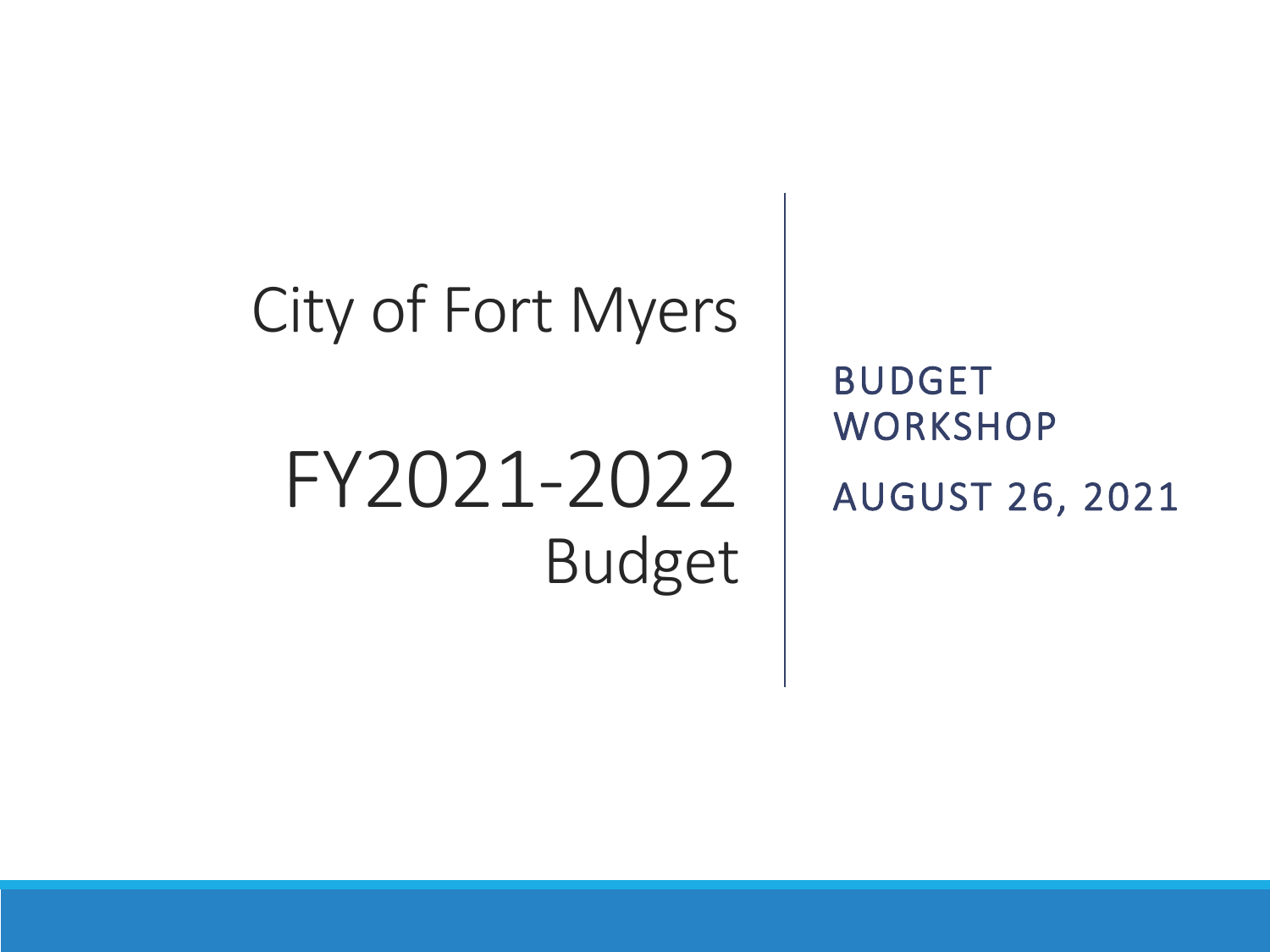## City of Fort Myers

# FY2021-2022 Budget

BUDGET **WORKSHOP** AUGUST 26, 2021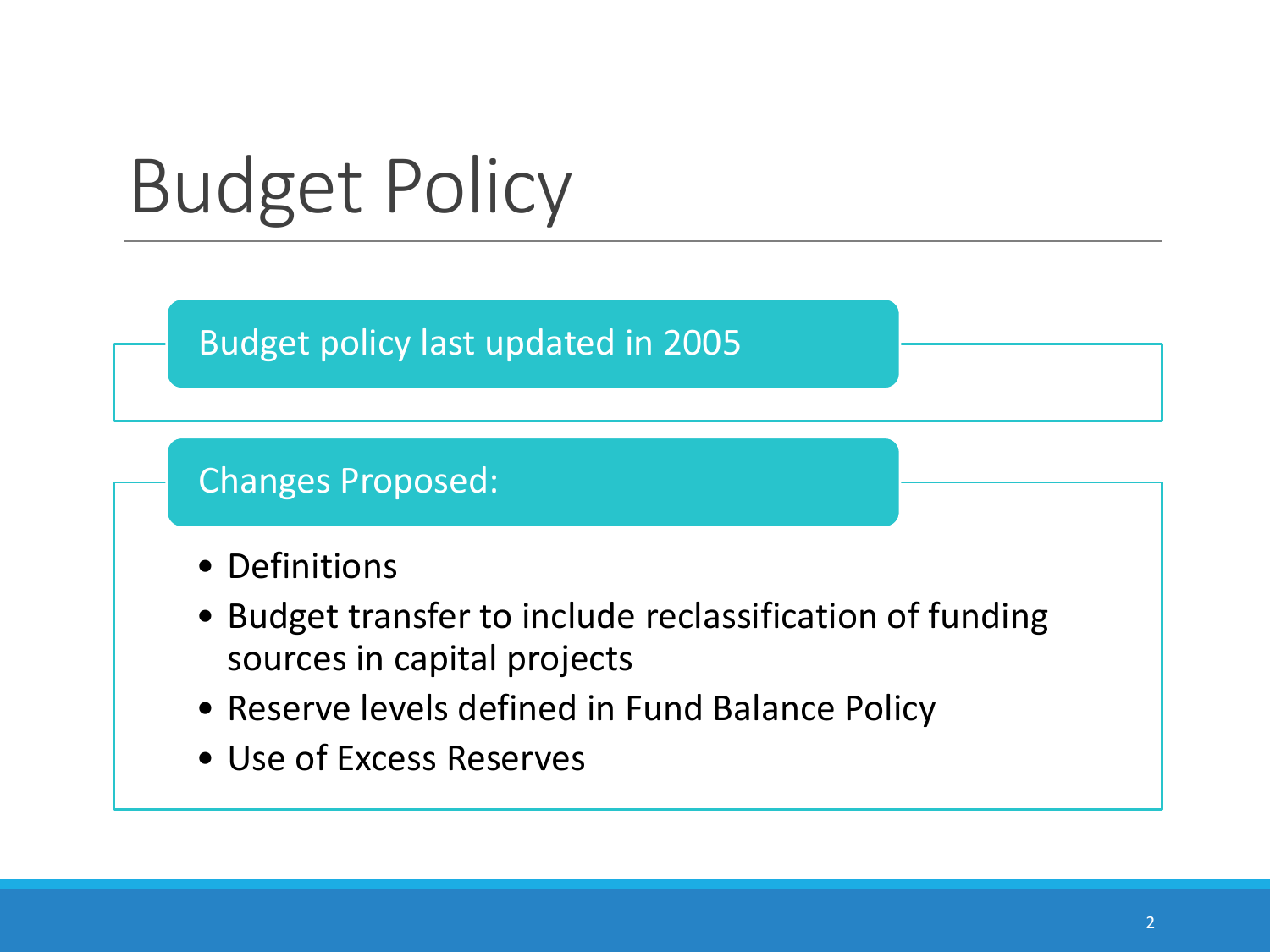# Budget Policy

#### Budget policy last updated in 2005

#### Changes Proposed:

- Definitions
- Budget transfer to include reclassification of funding sources in capital projects
- Reserve levels defined in Fund Balance Policy
- Use of Excess Reserves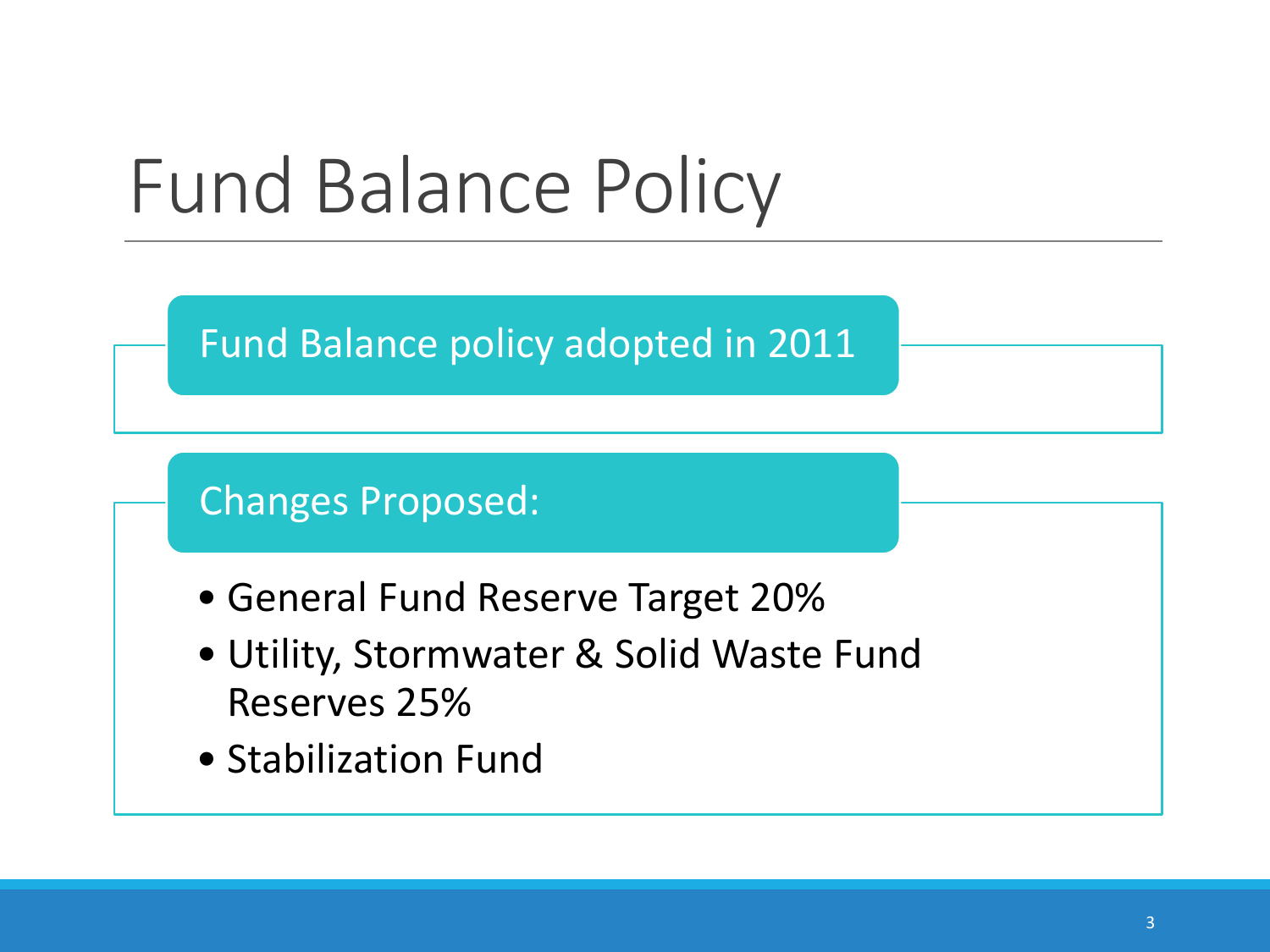

Fund Balance policy adopted in 2011

Changes Proposed:

- General Fund Reserve Target 20%
- Utility, Stormwater & Solid Waste Fund Reserves 25%
- Stabilization Fund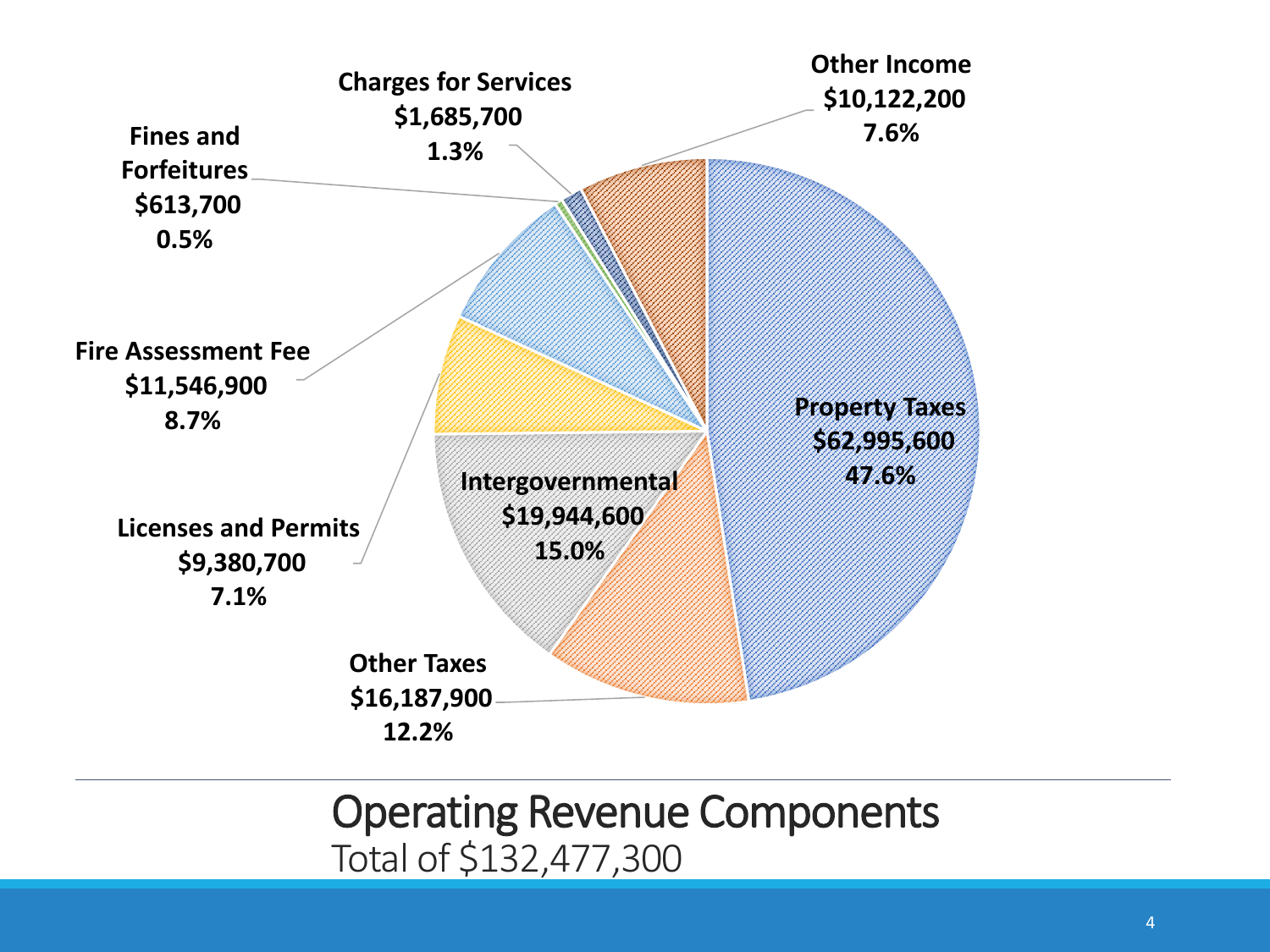

#### Operating Revenue Components Total of \$132,477,300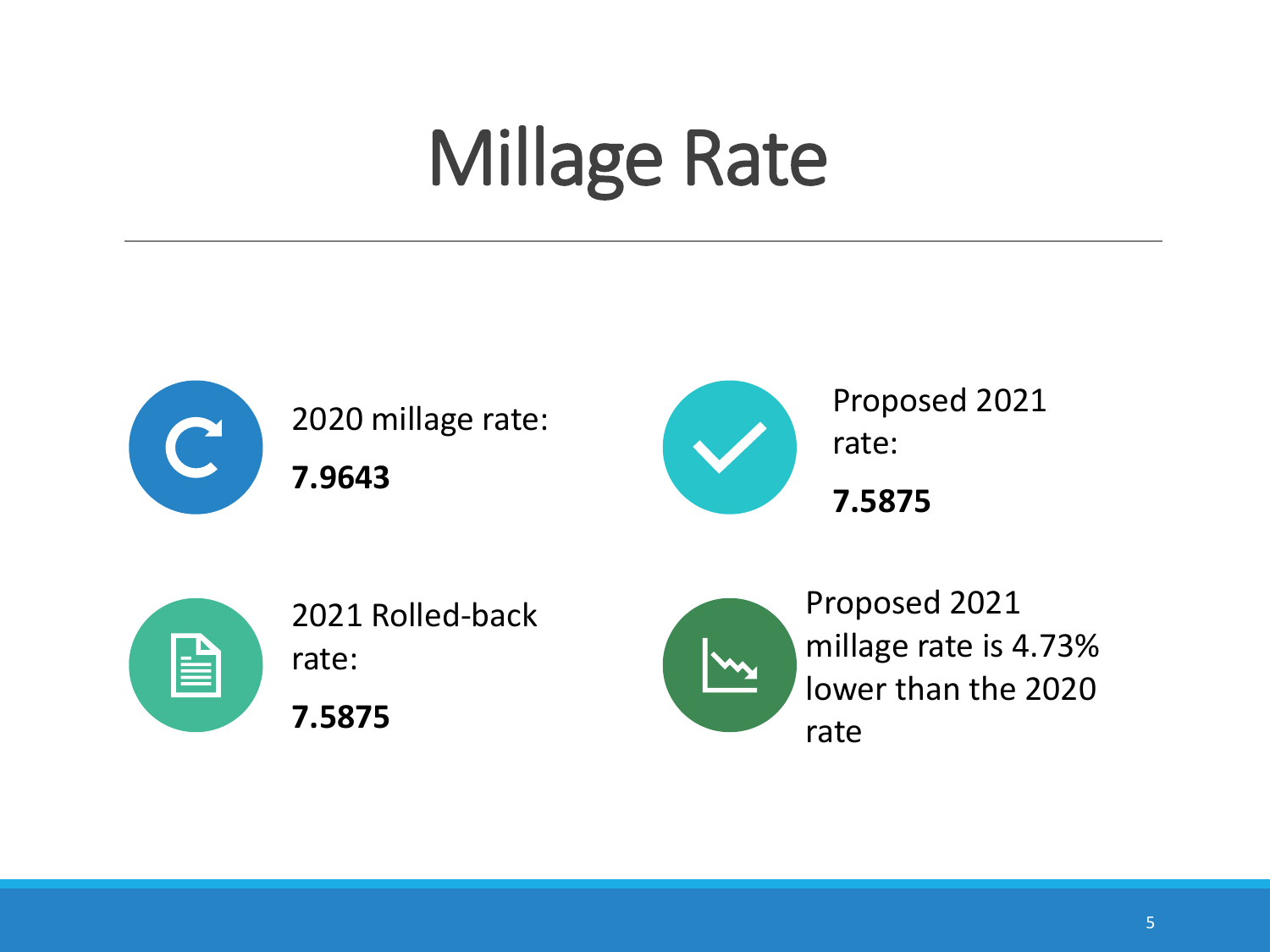# Millage Rate



2020 millage rate:

**7.9643**



Proposed 2021 rate:

**7.5875**



2021 Rolled-back rate:

**7.5875**



Proposed 2021 millage rate is 4.73% lower than the 2020 rate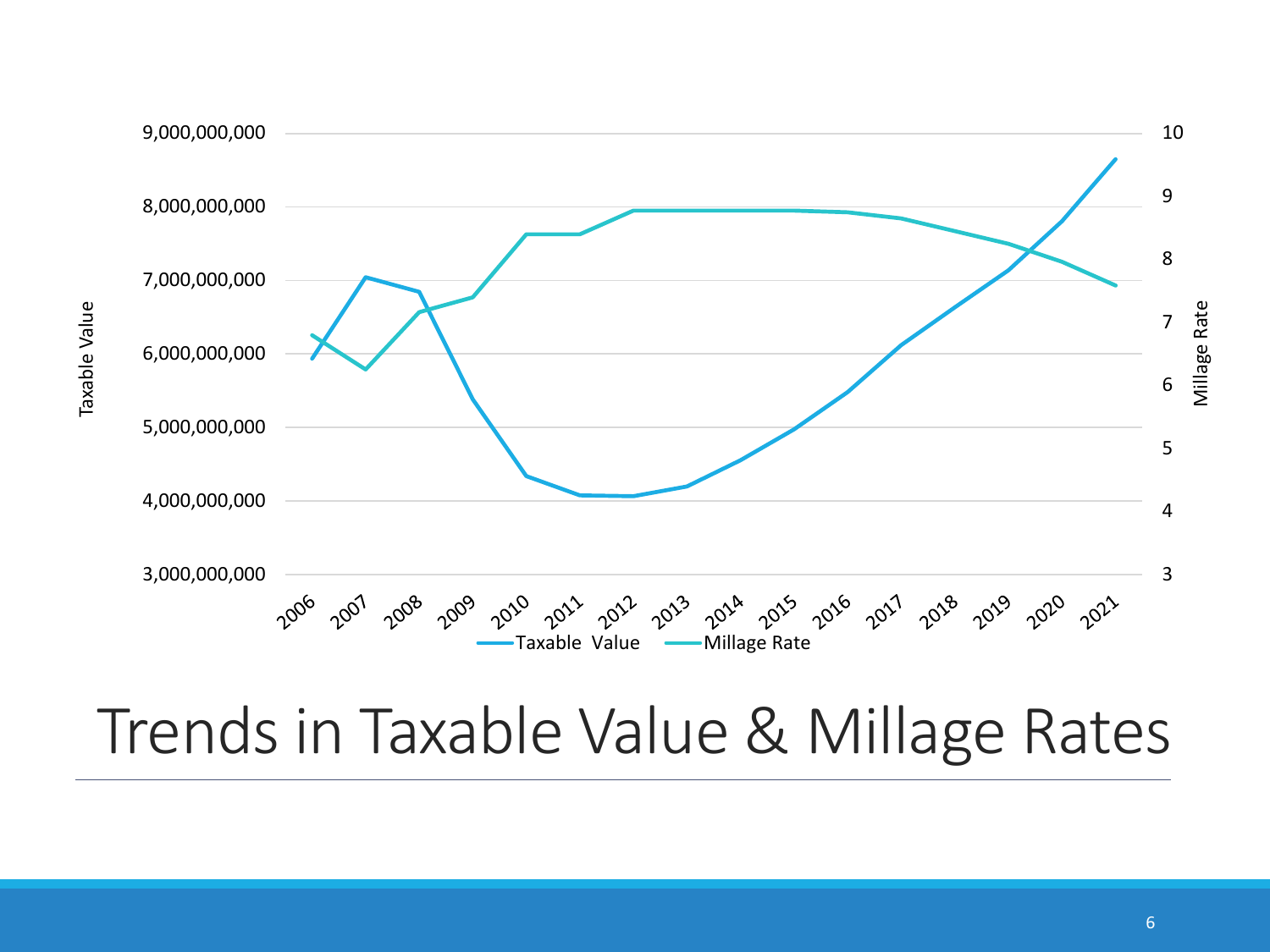

## Trends in Taxable Value & Millage Rates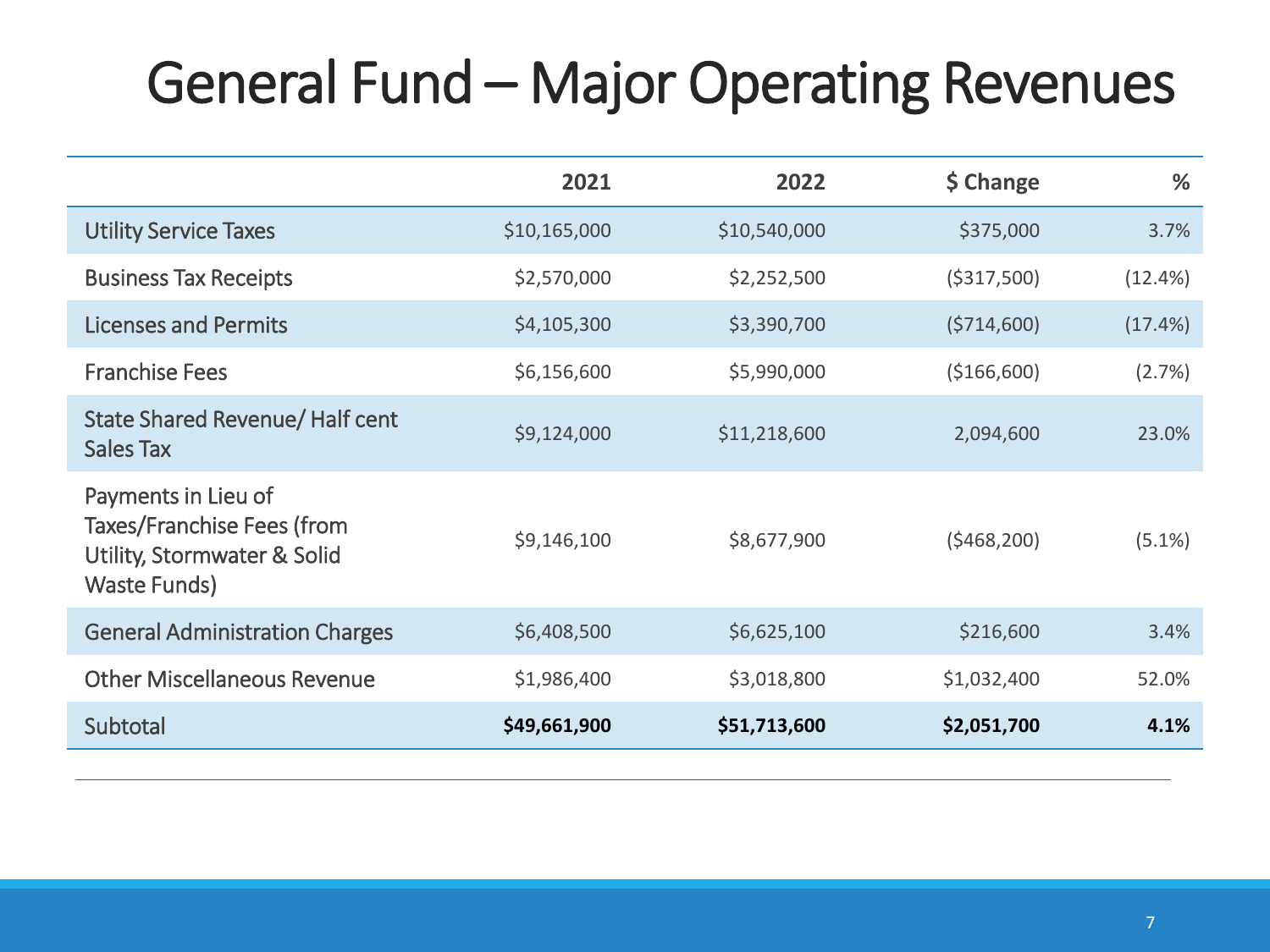## General Fund – Major Operating Revenues

|                                                                                                  | 2021         | 2022         | \$ Change    | %         |
|--------------------------------------------------------------------------------------------------|--------------|--------------|--------------|-----------|
| <b>Utility Service Taxes</b>                                                                     | \$10,165,000 | \$10,540,000 | \$375,000    | 3.7%      |
| <b>Business Tax Receipts</b>                                                                     | \$2,570,000  | \$2,252,500  | ( \$317,500) | (12.4%)   |
| <b>Licenses and Permits</b>                                                                      | \$4,105,300  | \$3,390,700  | (5714,600)   | (17.4%)   |
| <b>Franchise Fees</b>                                                                            | \$6,156,600  | \$5,990,000  | (\$166,600)  | (2.7%)    |
| State Shared Revenue/ Half cent<br><b>Sales Tax</b>                                              | \$9,124,000  | \$11,218,600 | 2,094,600    | 23.0%     |
| Payments in Lieu of<br>Taxes/Franchise Fees (from<br>Utility, Stormwater & Solid<br>Waste Funds) | \$9,146,100  | \$8,677,900  | (5468, 200)  | $(5.1\%)$ |
| <b>General Administration Charges</b>                                                            | \$6,408,500  | \$6,625,100  | \$216,600    | 3.4%      |
| <b>Other Miscellaneous Revenue</b>                                                               | \$1,986,400  | \$3,018,800  | \$1,032,400  | 52.0%     |
| Subtotal                                                                                         | \$49,661,900 | \$51,713,600 | \$2,051,700  | 4.1%      |
|                                                                                                  |              |              |              |           |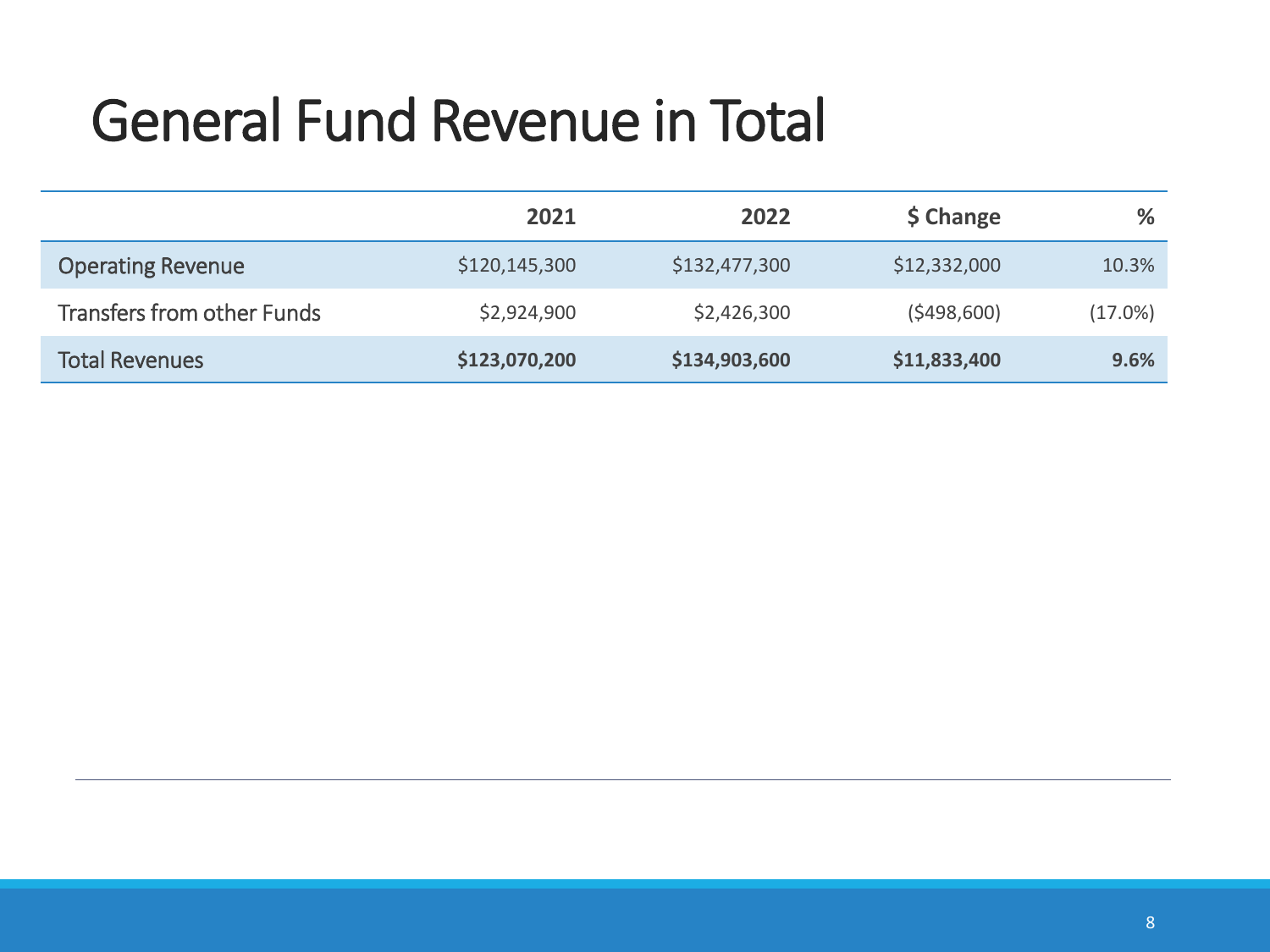## General Fund Revenue in Total

|                                   | 2021          | 2022          | \$ Change    | %          |
|-----------------------------------|---------------|---------------|--------------|------------|
| <b>Operating Revenue</b>          | \$120,145,300 | \$132,477,300 | \$12,332,000 | 10.3%      |
| <b>Transfers from other Funds</b> | \$2,924,900   | \$2,426,300   | (5498,600)   | $(17.0\%)$ |
| <b>Total Revenues</b>             | \$123,070,200 | \$134,903,600 | \$11,833,400 | 9.6%       |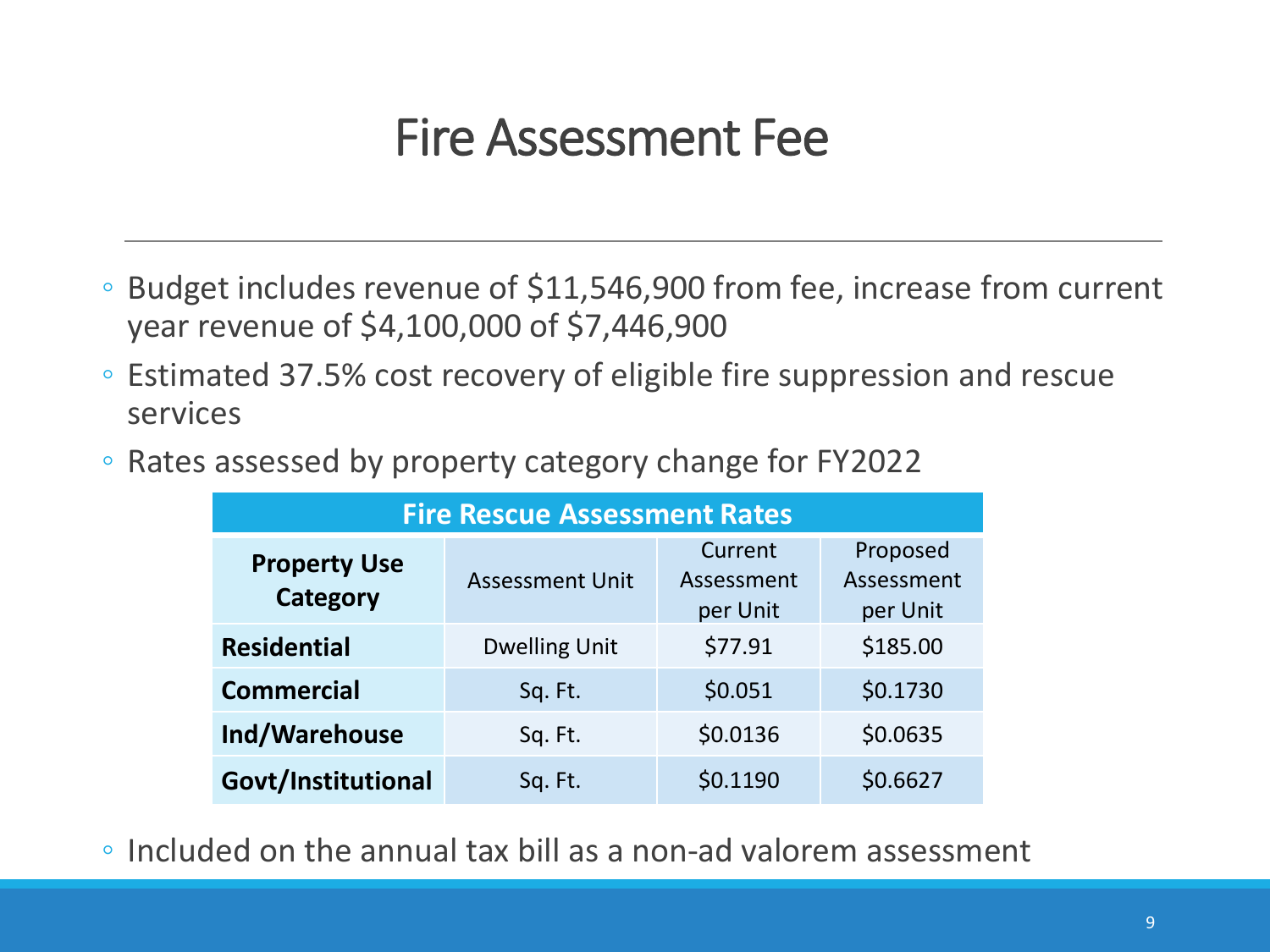#### Fire Assessment Fee

- Budget includes revenue of \$11,546,900 from fee, increase from current year revenue of \$4,100,000 of \$7,446,900
- Estimated 37.5% cost recovery of eligible fire suppression and rescue services
- Rates assessed by property category change for FY2022

| <b>Fire Rescue Assessment Rates</b> |                        |                                   |                                    |  |  |  |
|-------------------------------------|------------------------|-----------------------------------|------------------------------------|--|--|--|
| <b>Property Use</b><br>Category     | <b>Assessment Unit</b> | Current<br>Assessment<br>per Unit | Proposed<br>Assessment<br>per Unit |  |  |  |
| <b>Residential</b>                  | <b>Dwelling Unit</b>   | \$77.91                           | \$185.00                           |  |  |  |
| <b>Commercial</b>                   | Sq. Ft.                | \$0.051                           | \$0.1730                           |  |  |  |
| Ind/Warehouse                       | Sq. Ft.                | \$0.0136                          | \$0.0635                           |  |  |  |
| Govt/Institutional                  | Sq. Ft.                | \$0.1190                          | \$0.6627                           |  |  |  |

◦ Included on the annual tax bill as a non-ad valorem assessment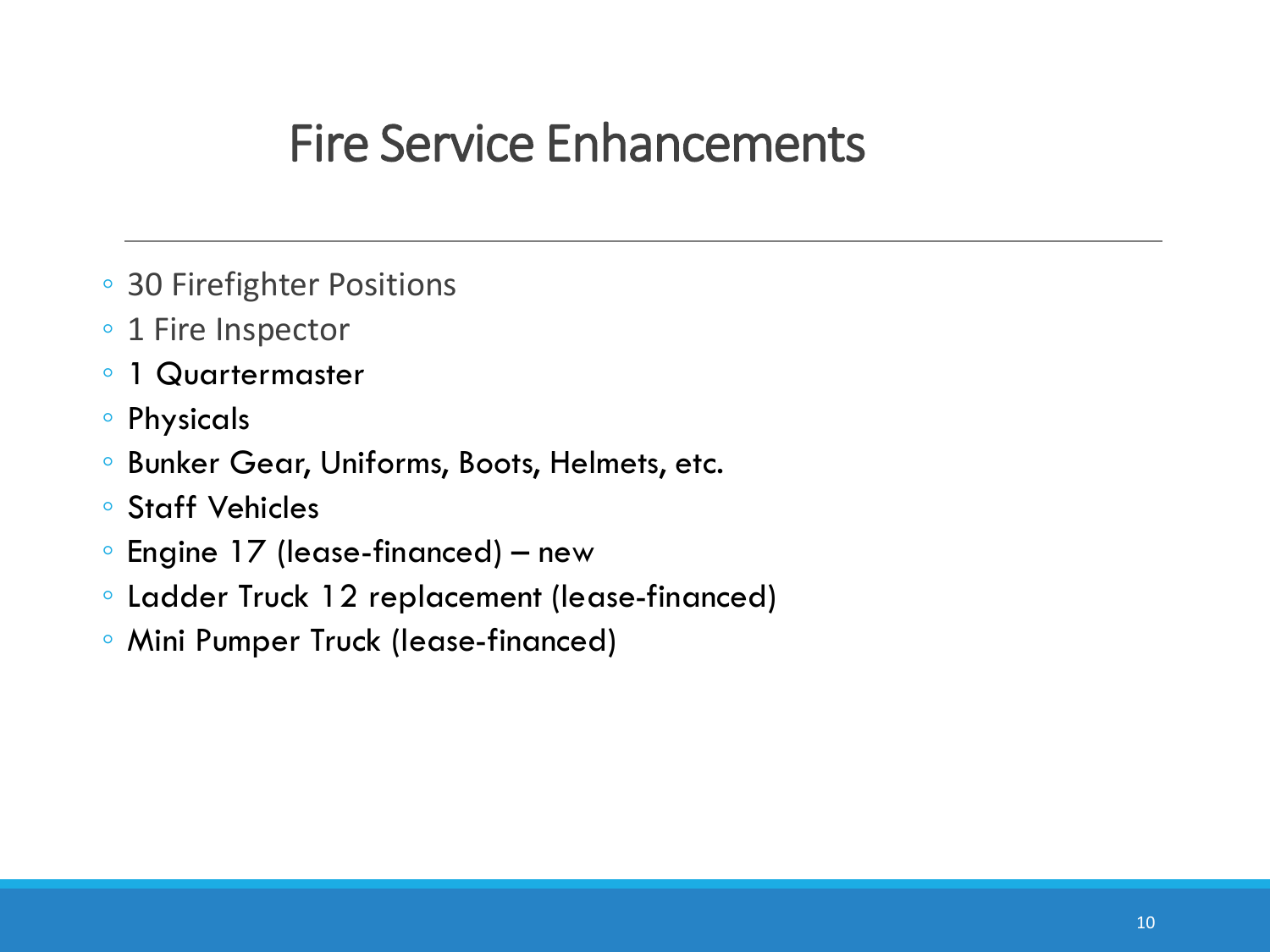#### Fire Service Enhancements

- 30 Firefighter Positions
- 1 Fire Inspector
- 1 Quartermaster
- Physicals
- Bunker Gear, Uniforms, Boots, Helmets, etc.
- Staff Vehicles
- Engine 17 (lease-financed) new
- Ladder Truck 12 replacement (lease-financed)
- Mini Pumper Truck (lease-financed)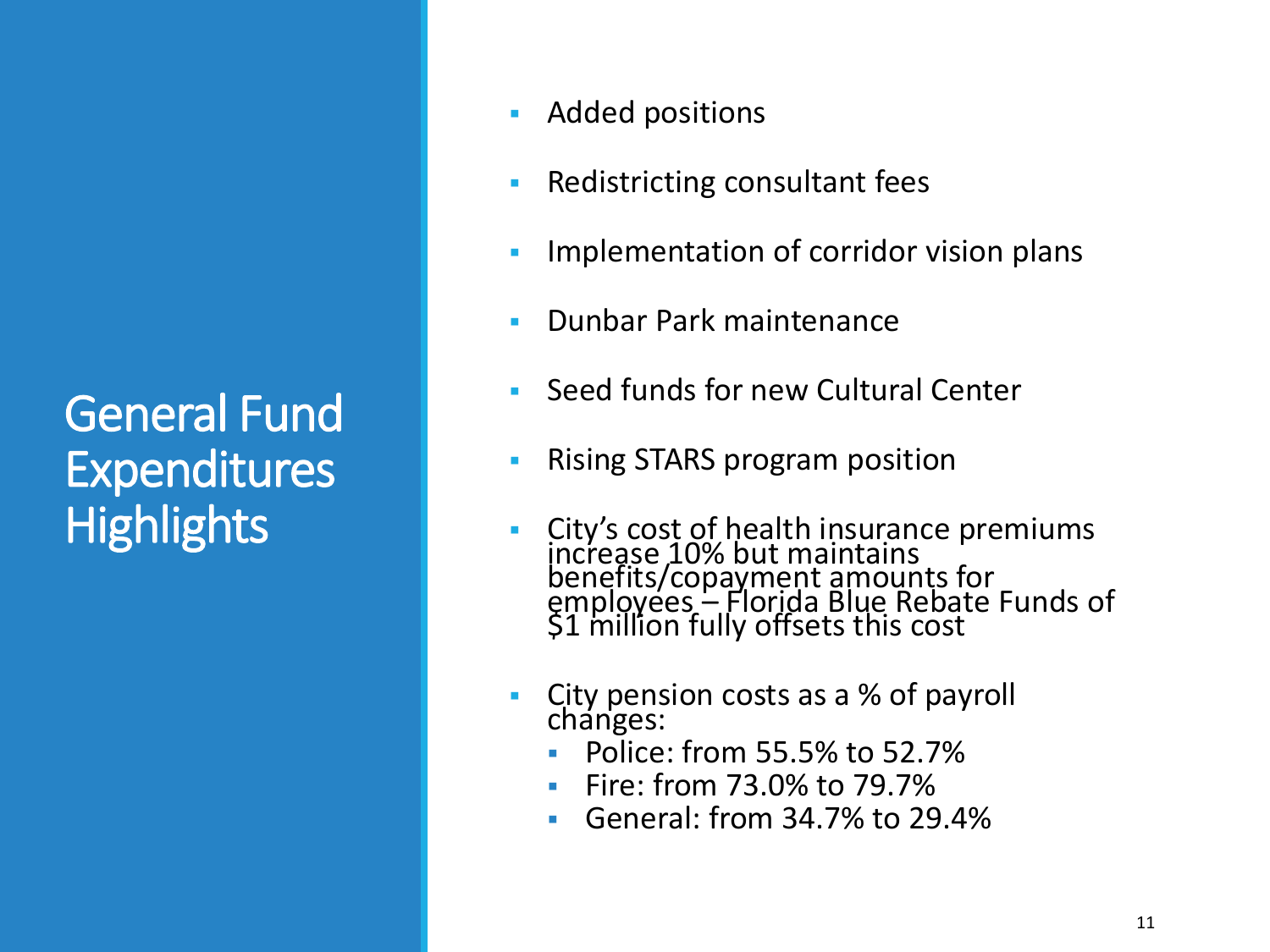#### General Fund Expenditures **Highlights**

- **EXECUTE:** Added positions
- Redistricting consultant fees
- Implementation of corridor vision plans
- **Dunbar Park maintenance**
- **Seed funds for new Cultural Center**
- Rising STARS program position
- City's cost of health insurance premiums increase 10% but maintains benefits/copayment amounts for employees – Florida Blue Rebate Funds of \$1 million fully offsets this cost
- City pension costs as a % of payroll changes:
	- Police: from 55.5% to 52.7%
	- Fire: from 73.0% to 79.7%
	- General: from 34.7% to 29.4%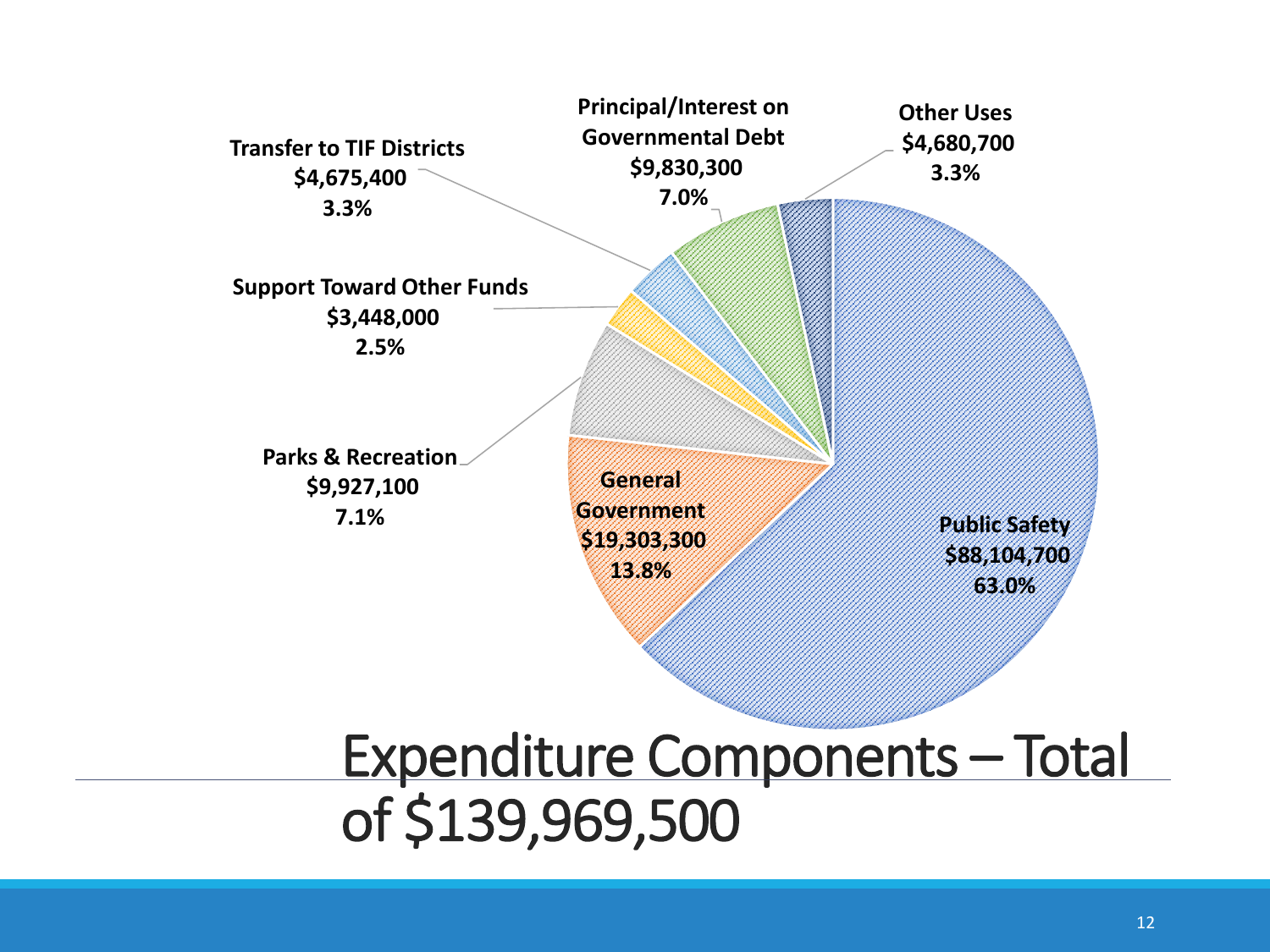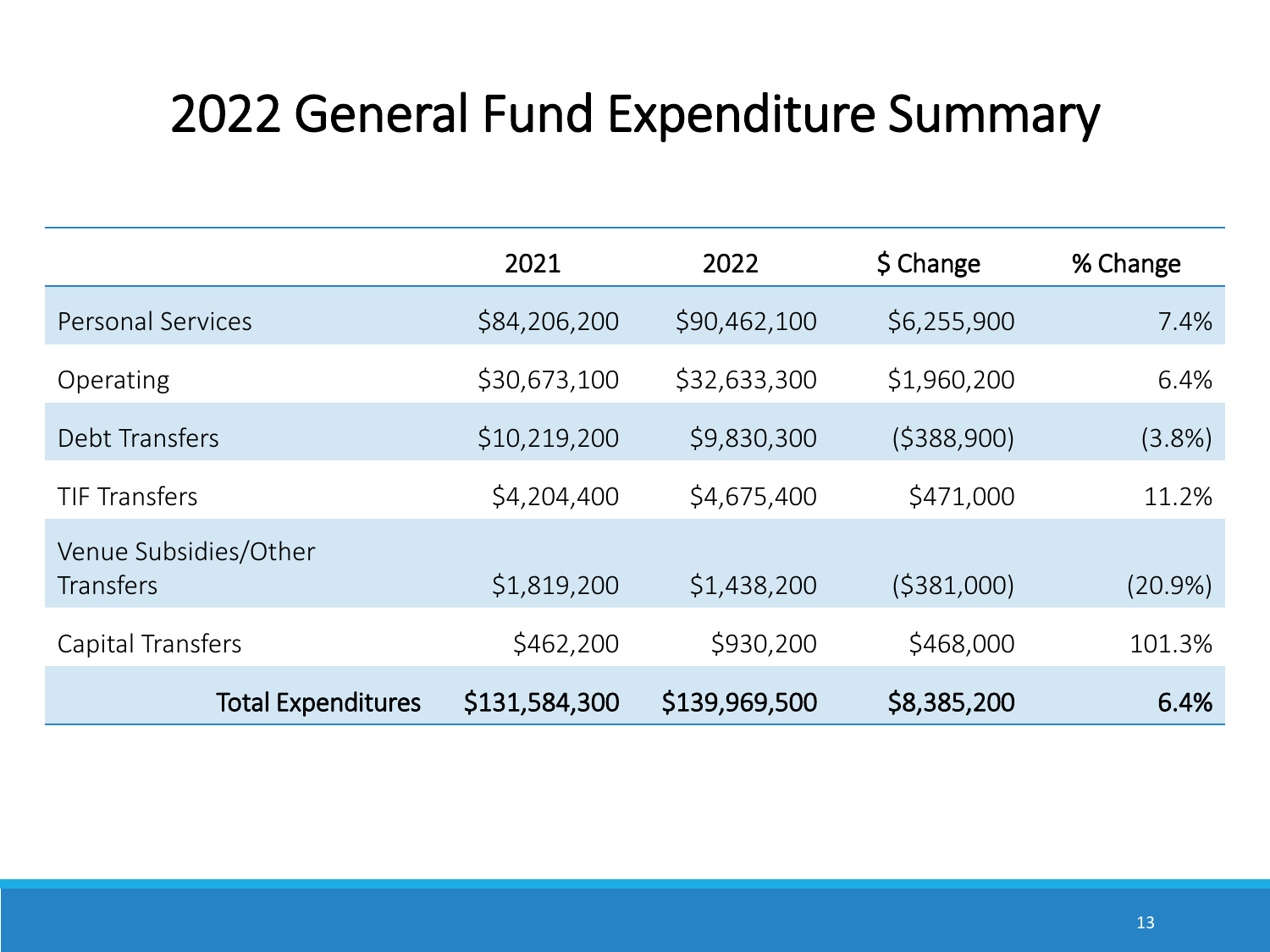### 2022 General Fund Expenditure Summary

|                                           | 2021          | 2022          | \$ Change    | % Change  |
|-------------------------------------------|---------------|---------------|--------------|-----------|
| <b>Personal Services</b>                  | \$84,206,200  | \$90,462,100  | \$6,255,900  | 7.4%      |
| Operating                                 | \$30,673,100  | \$32,633,300  | \$1,960,200  | 6.4%      |
| Debt Transfers                            | \$10,219,200  | \$9,830,300   | (5388,900)   | $(3.8\%)$ |
| <b>TIF Transfers</b>                      | \$4,204,400   | \$4,675,400   | \$471,000    | 11.2%     |
| Venue Subsidies/Other<br><b>Transfers</b> | \$1,819,200   | \$1,438,200   | ( \$381,000) | (20.9%)   |
| Capital Transfers                         | \$462,200     | \$930,200     | \$468,000    | 101.3%    |
| <b>Total Expenditures</b>                 | \$131,584,300 | \$139,969,500 | \$8,385,200  | 6.4%      |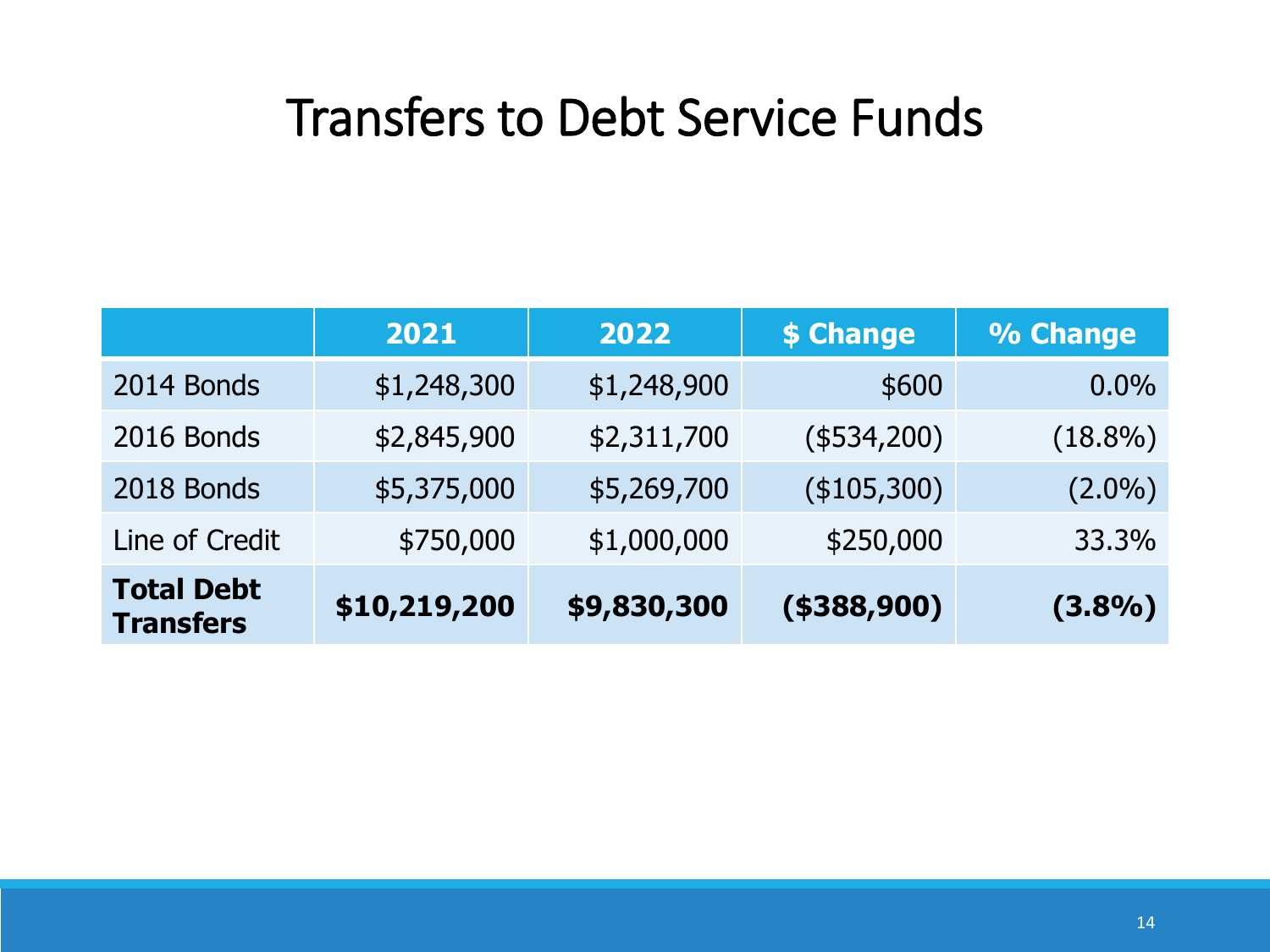#### Transfers to Debt Service Funds

|                                       | 2021         | 2022        | \$ Change      | % Change   |
|---------------------------------------|--------------|-------------|----------------|------------|
| 2014 Bonds                            | \$1,248,300  | \$1,248,900 | \$600          | 0.0%       |
| 2016 Bonds                            | \$2,845,900  | \$2,311,700 | $(*534,200)$   | $(18.8\%)$ |
| 2018 Bonds                            | \$5,375,000  | \$5,269,700 | (\$105,300)    | $(2.0\%)$  |
| Line of Credit                        | \$750,000    | \$1,000,000 | \$250,000      | 33.3%      |
| <b>Total Debt</b><br><b>Transfers</b> | \$10,219,200 | \$9,830,300 | $($ \$388,900) | (3.8%)     |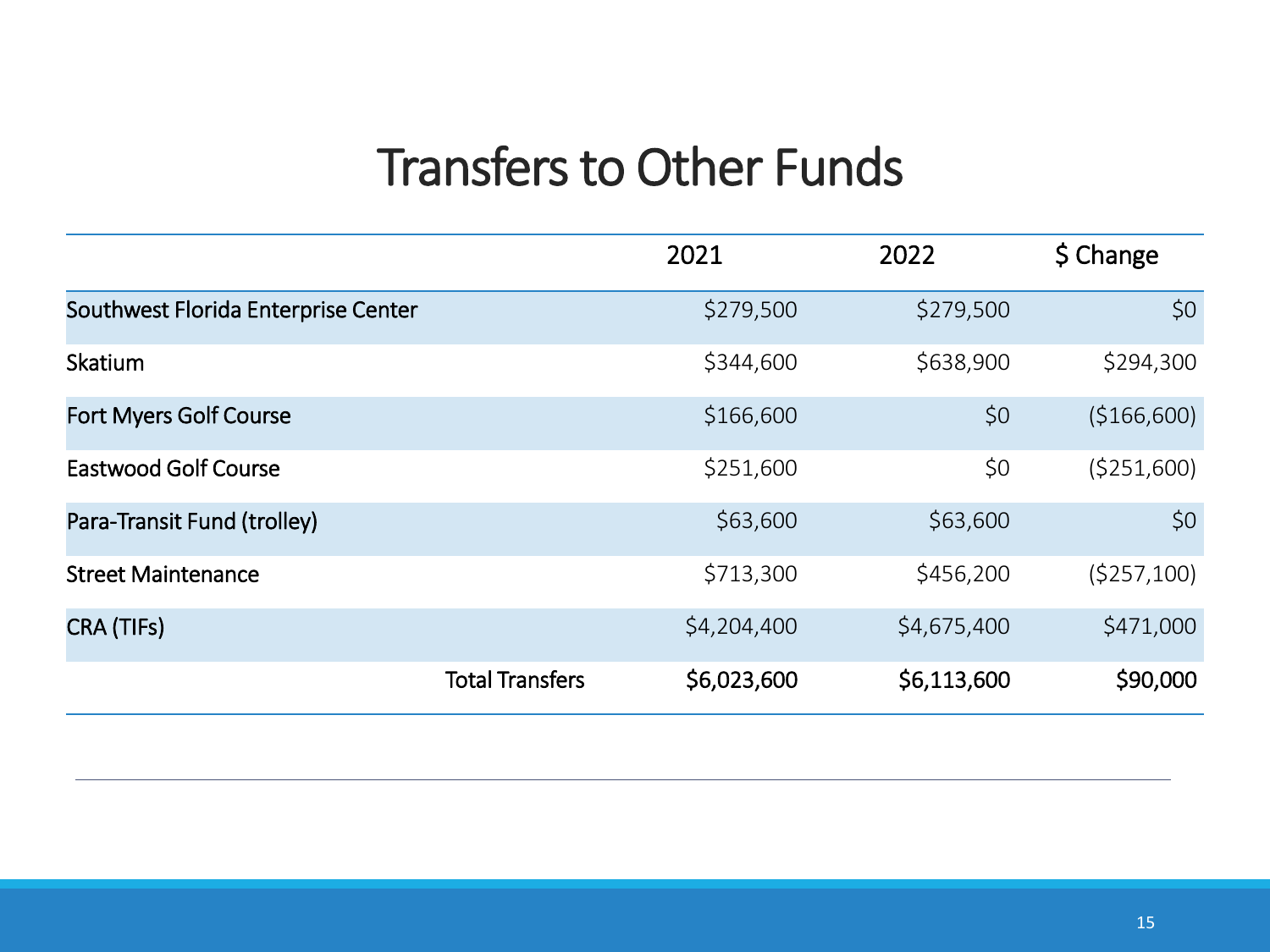#### Transfers to Other Funds

|                                     | 2021        | 2022        | \$ Change    |
|-------------------------------------|-------------|-------------|--------------|
| Southwest Florida Enterprise Center | \$279,500   | \$279,500   | \$0          |
| Skatium                             | \$344,600   | \$638,900   | \$294,300    |
| <b>Fort Myers Golf Course</b>       | \$166,600   | \$0         | (\$166,600)  |
| <b>Eastwood Golf Course</b>         | \$251,600   | \$0         | ( \$251,600) |
| Para-Transit Fund (trolley)         | \$63,600    | \$63,600    | \$0          |
| <b>Street Maintenance</b>           | \$713,300   | \$456,200   | (5257, 100)  |
| CRA (TIFs)                          | \$4,204,400 | \$4,675,400 | \$471,000    |
| <b>Total Transfers</b>              | \$6,023,600 | \$6,113,600 | \$90,000     |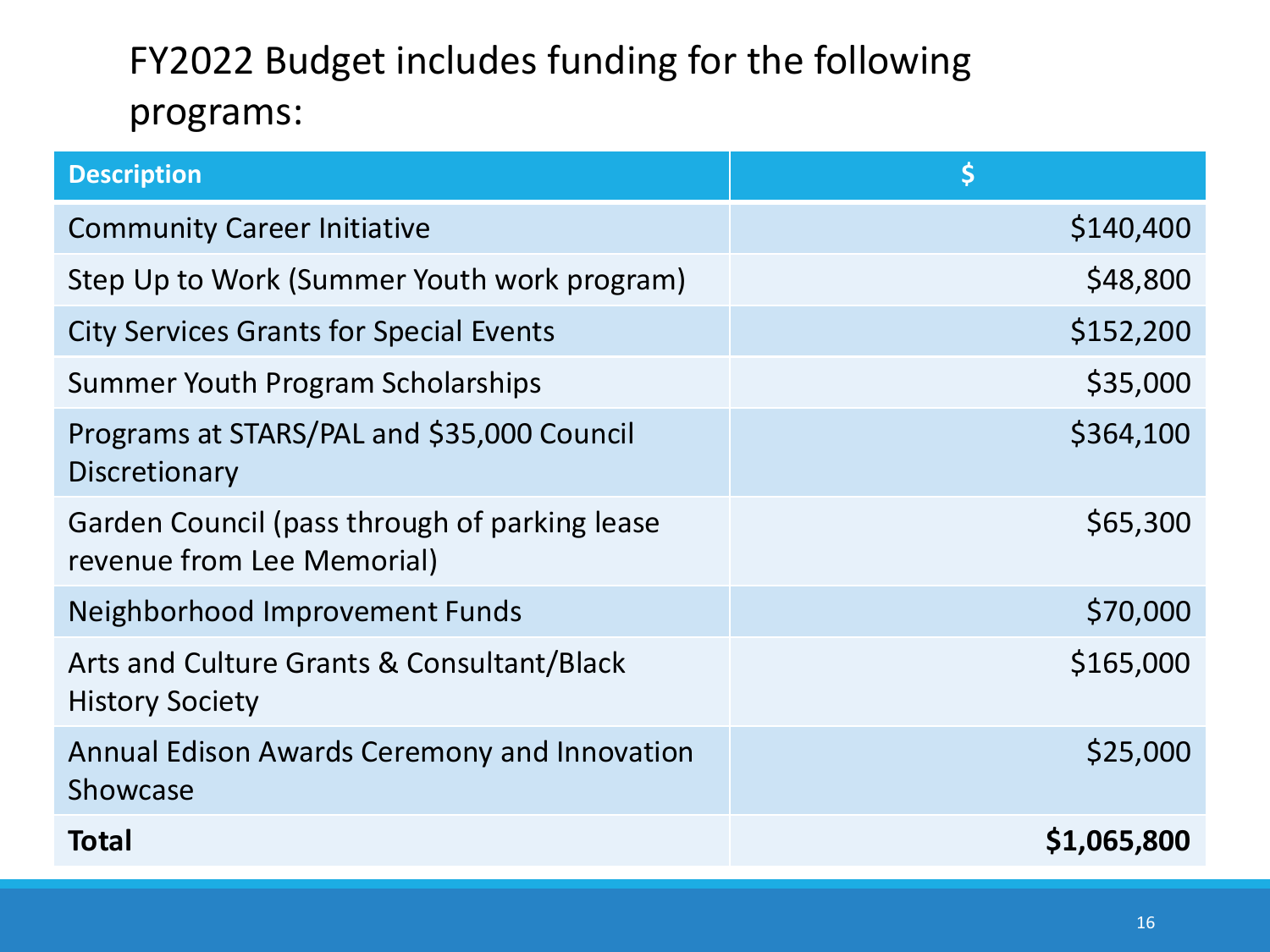#### FY2022 Budget includes funding for the following programs:

| <b>Description</b>                                                          | \$          |
|-----------------------------------------------------------------------------|-------------|
| <b>Community Career Initiative</b>                                          | \$140,400   |
| Step Up to Work (Summer Youth work program)                                 | \$48,800    |
| <b>City Services Grants for Special Events</b>                              | \$152,200   |
| Summer Youth Program Scholarships                                           | \$35,000    |
| Programs at STARS/PAL and \$35,000 Council<br>Discretionary                 | \$364,100   |
| Garden Council (pass through of parking lease<br>revenue from Lee Memorial) | \$65,300    |
| Neighborhood Improvement Funds                                              | \$70,000    |
| Arts and Culture Grants & Consultant/Black<br><b>History Society</b>        | \$165,000   |
| Annual Edison Awards Ceremony and Innovation<br>Showcase                    | \$25,000    |
| <b>Total</b>                                                                | \$1,065,800 |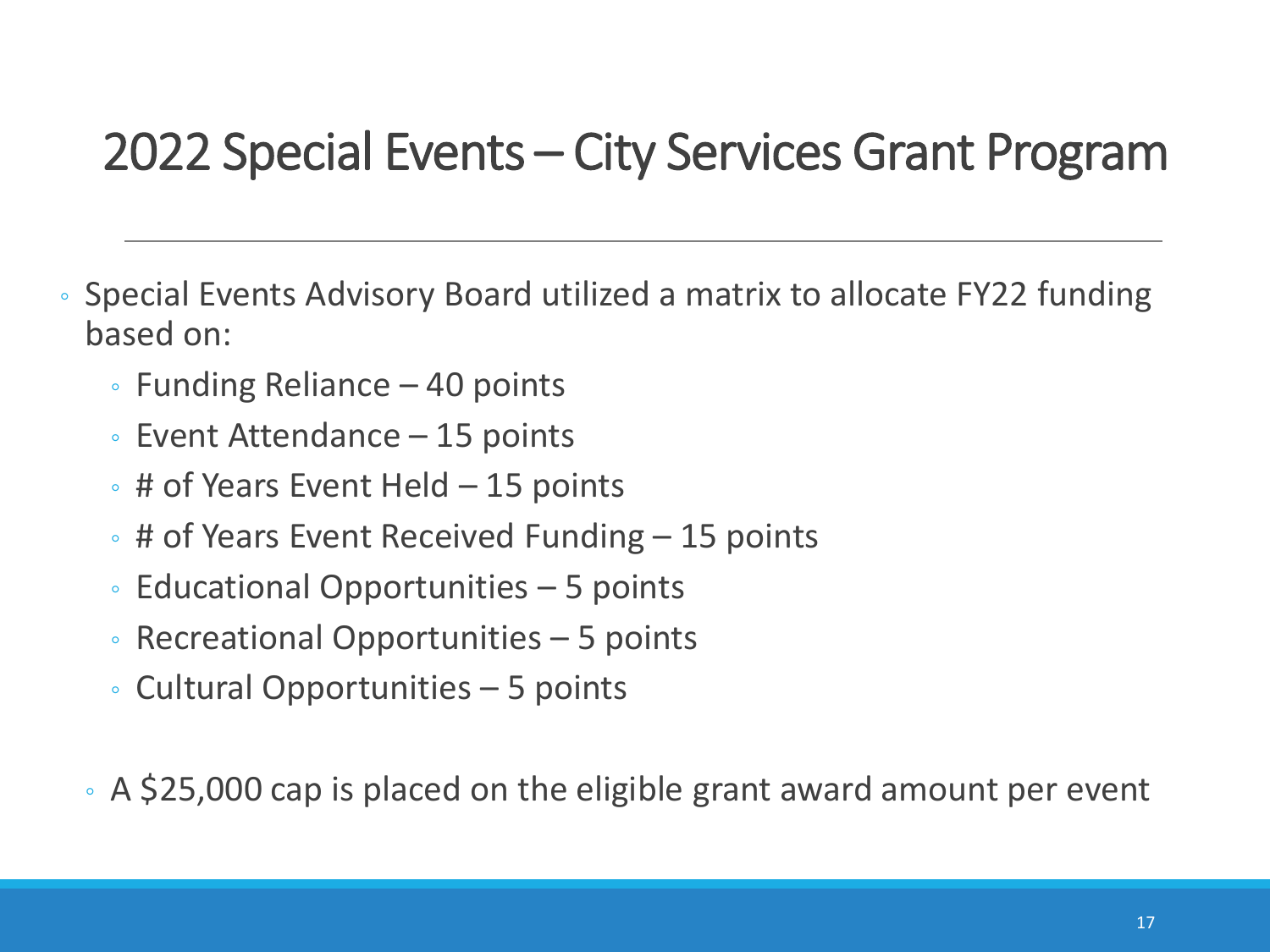#### 2022 Special Events – City Services Grant Program

- Special Events Advisory Board utilized a matrix to allocate FY22 funding based on:
	- Funding Reliance 40 points
	- Event Attendance 15 points
	- # of Years Event Held 15 points
	- # of Years Event Received Funding 15 points
	- Educational Opportunities 5 points
	- Recreational Opportunities 5 points
	- Cultural Opportunities 5 points
	- A \$25,000 cap is placed on the eligible grant award amount per event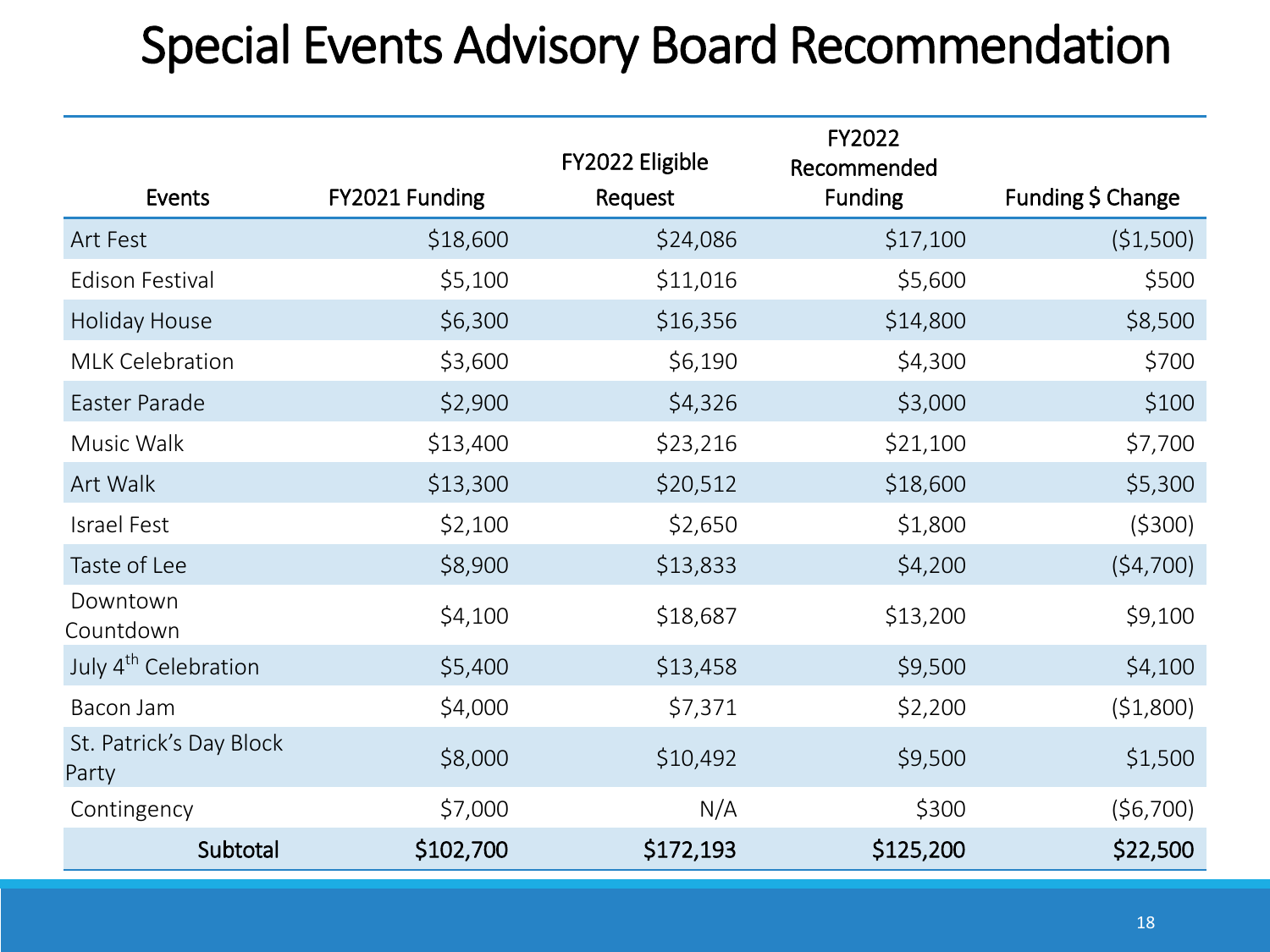### Special Events Advisory Board Recommendation

|                                  |                | FY2022 Eligible | FY2022<br>Recommended |                   |
|----------------------------------|----------------|-----------------|-----------------------|-------------------|
| Events                           | FY2021 Funding | Request         | <b>Funding</b>        | Funding \$ Change |
| Art Fest                         | \$18,600       | \$24,086        | \$17,100              | (\$1,500)         |
| <b>Edison Festival</b>           | \$5,100        | \$11,016        | \$5,600               | \$500             |
| Holiday House                    | \$6,300        | \$16,356        | \$14,800              | \$8,500           |
| <b>MLK Celebration</b>           | \$3,600        | \$6,190         | \$4,300               | \$700             |
| Easter Parade                    | \$2,900        | \$4,326         | \$3,000               | \$100             |
| Music Walk                       | \$13,400       | \$23,216        | \$21,100              | \$7,700           |
| Art Walk                         | \$13,300       | \$20,512        | \$18,600              | \$5,300           |
| Israel Fest                      | \$2,100        | \$2,650         | \$1,800               | (5300)            |
| Taste of Lee                     | \$8,900        | \$13,833        | \$4,200               | (54,700)          |
| Downtown<br>Countdown            | \$4,100        | \$18,687        | \$13,200              | \$9,100           |
| July 4 <sup>th</sup> Celebration | \$5,400        | \$13,458        | \$9,500               | \$4,100           |
| Bacon Jam                        | \$4,000        | \$7,371         | \$2,200               | (51,800)          |
| St. Patrick's Day Block<br>Party | \$8,000        | \$10,492        | \$9,500               | \$1,500           |
| Contingency                      | \$7,000        | N/A             | \$300                 | (56,700)          |
| Subtotal                         | \$102,700      | \$172,193       | \$125,200             | \$22,500          |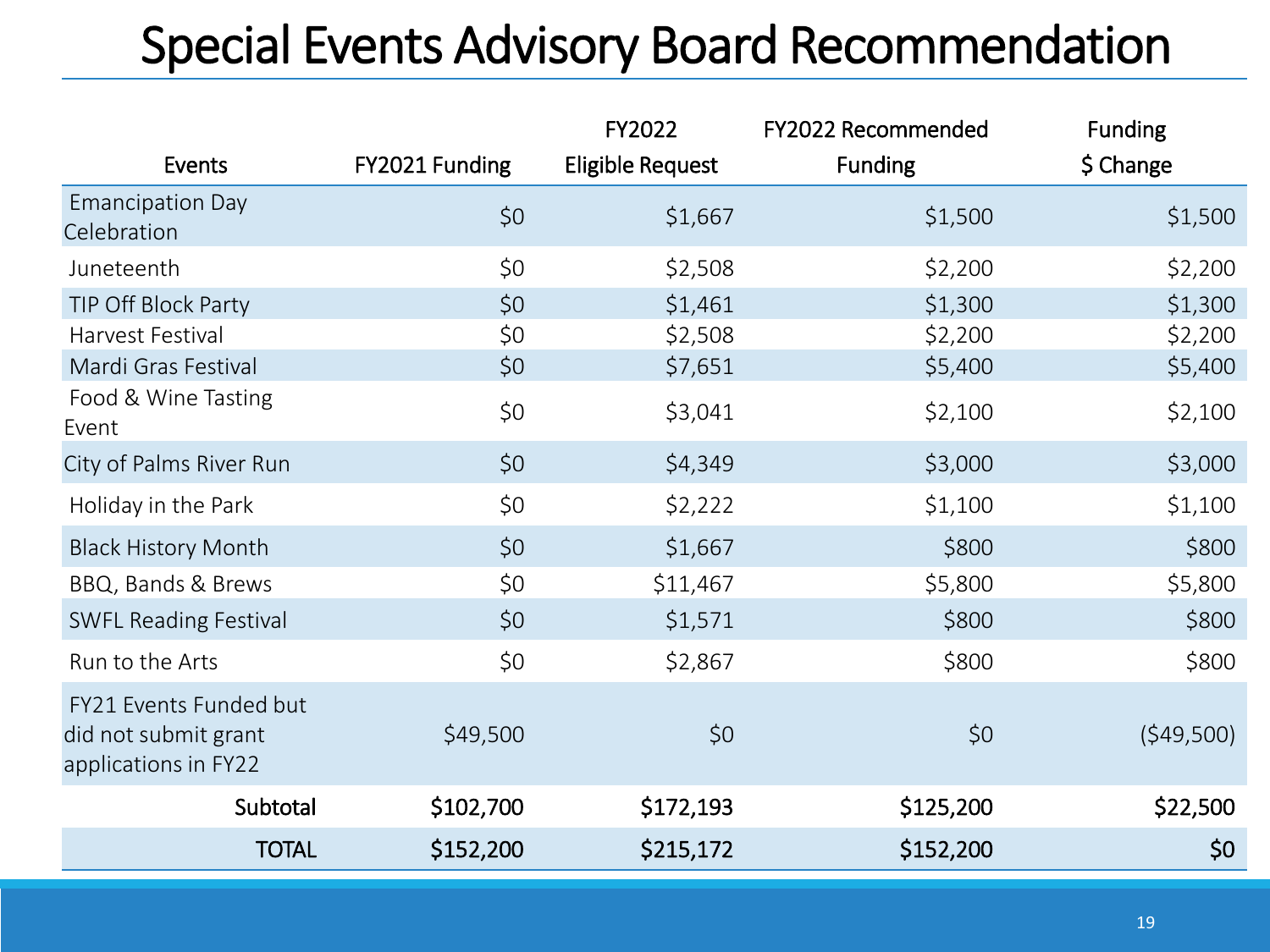### Special Events Advisory Board Recommendation

|                                                                        |                | FY2022           | FY2022 Recommended | <b>Funding</b> |
|------------------------------------------------------------------------|----------------|------------------|--------------------|----------------|
| Events                                                                 | FY2021 Funding | Eligible Request | <b>Funding</b>     | $$$ Change     |
| <b>Emancipation Day</b><br>Celebration                                 | \$0            | \$1,667          | \$1,500            | \$1,500        |
| Juneteenth                                                             | \$0            | \$2,508          | \$2,200            | \$2,200        |
| TIP Off Block Party                                                    | \$0\$          | \$1,461          | \$1,300            | \$1,300        |
| Harvest Festival                                                       | \$0            | \$2,508          | \$2,200            | \$2,200        |
| Mardi Gras Festival                                                    | \$0            | \$7,651          | \$5,400            | \$5,400        |
| Food & Wine Tasting<br>Event                                           | \$0            | \$3,041          | \$2,100            | \$2,100        |
| City of Palms River Run                                                | \$0            | \$4,349          | \$3,000            | \$3,000        |
| Holiday in the Park                                                    | \$0            | \$2,222          | \$1,100            | \$1,100        |
| <b>Black History Month</b>                                             | \$0            | \$1,667          | \$800              | \$800          |
| BBQ, Bands & Brews                                                     | \$0            | \$11,467         | \$5,800            | \$5,800        |
| <b>SWFL Reading Festival</b>                                           | \$0            | \$1,571          | \$800              | \$800          |
| Run to the Arts                                                        | \$0            | \$2,867          | \$800              | \$800          |
| FY21 Events Funded but<br>did not submit grant<br>applications in FY22 | \$49,500       | \$0              | \$0                | (549,500)      |
| Subtotal                                                               | \$102,700      | \$172,193        | \$125,200          | \$22,500       |
| <b>TOTAL</b>                                                           | \$152,200      | \$215,172        | \$152,200          | \$0            |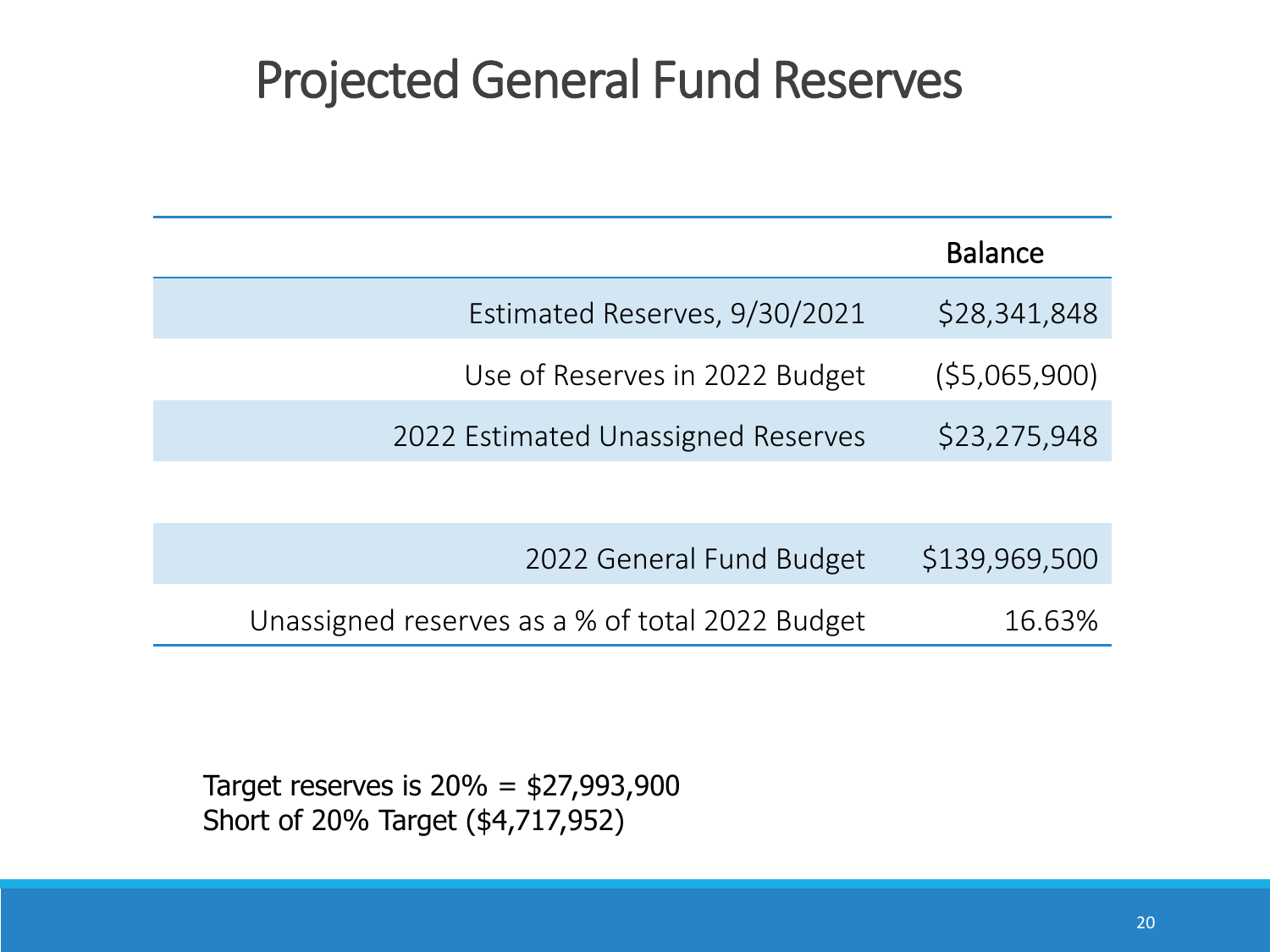#### Projected General Fund Reserves

|                                    | <b>Balance</b> |
|------------------------------------|----------------|
| Estimated Reserves, 9/30/2021      | \$28,341,848   |
| Use of Reserves in 2022 Budget     | (55,065,900)   |
| 2022 Estimated Unassigned Reserves | \$23,275,948   |
|                                    |                |
|                                    |                |

| 2022 General Fund Budget                        | \$139,969,500 |
|-------------------------------------------------|---------------|
| Unassigned reserves as a % of total 2022 Budget | 16.63%        |

Target reserves is  $20% = $27,993,900$ Short of 20% Target (\$4,717,952)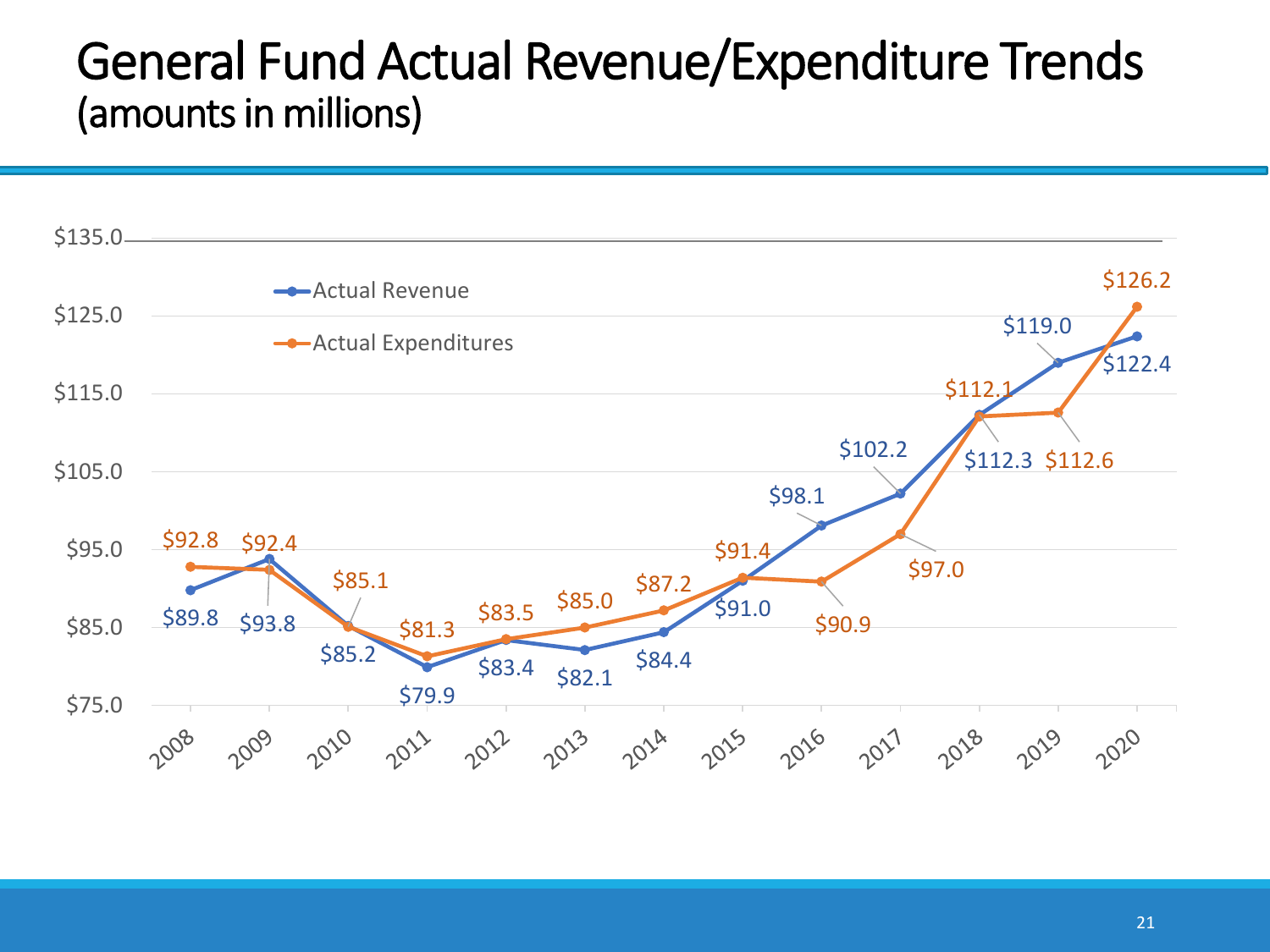#### General Fund Actual Revenue/Expenditure Trends (amounts in millions)

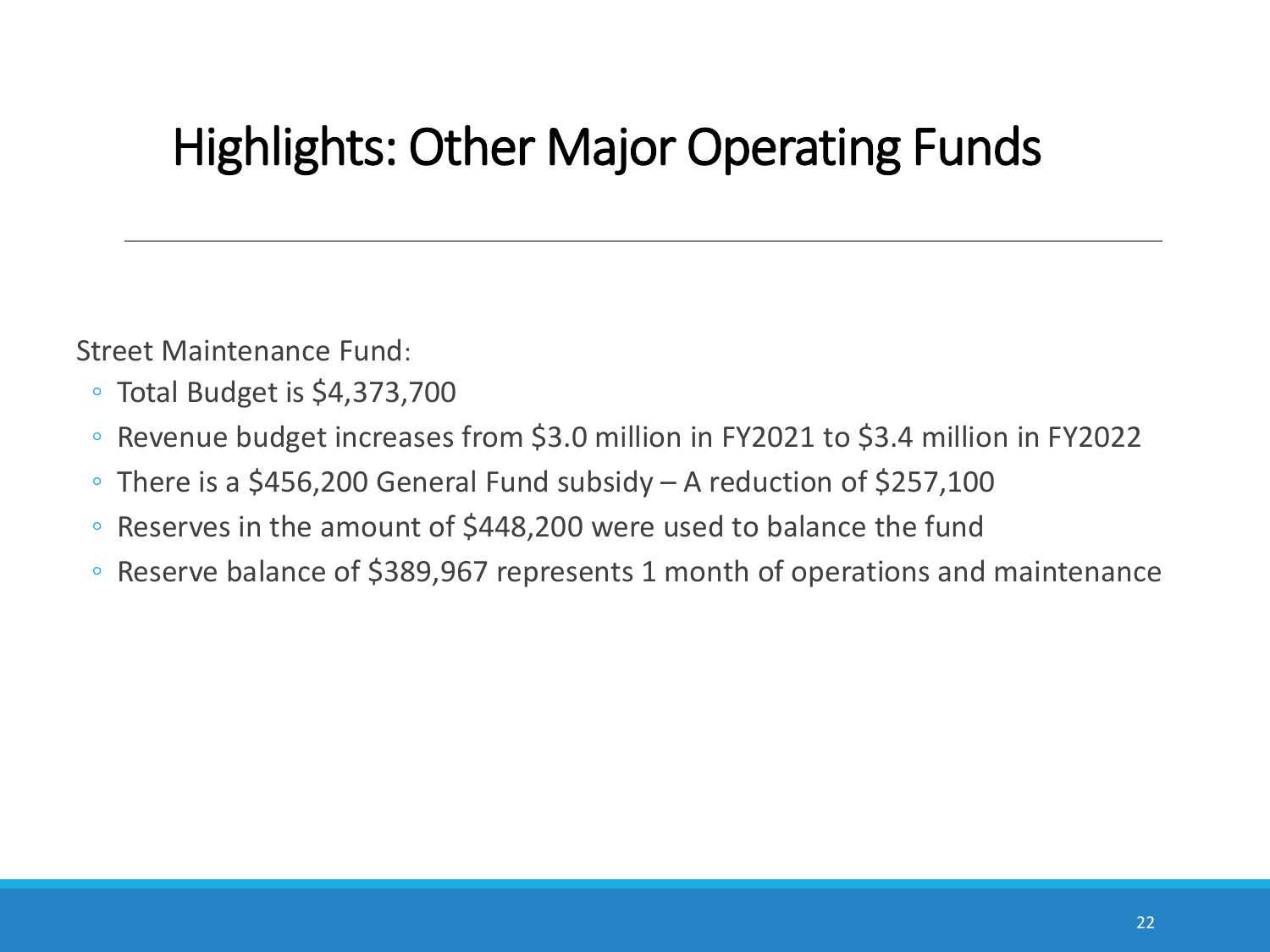Street Maintenance Fund:

- Total Budget is \$4,373,700
- Revenue budget increases from \$3.0 million in FY2021 to \$3.4 million in FY2022
- There is a \$456,200 General Fund subsidy A reduction of \$257,100
- Reserves in the amount of \$448,200 were used to balance the fund
- Reserve balance of \$389,967 represents 1 month of operations and maintenance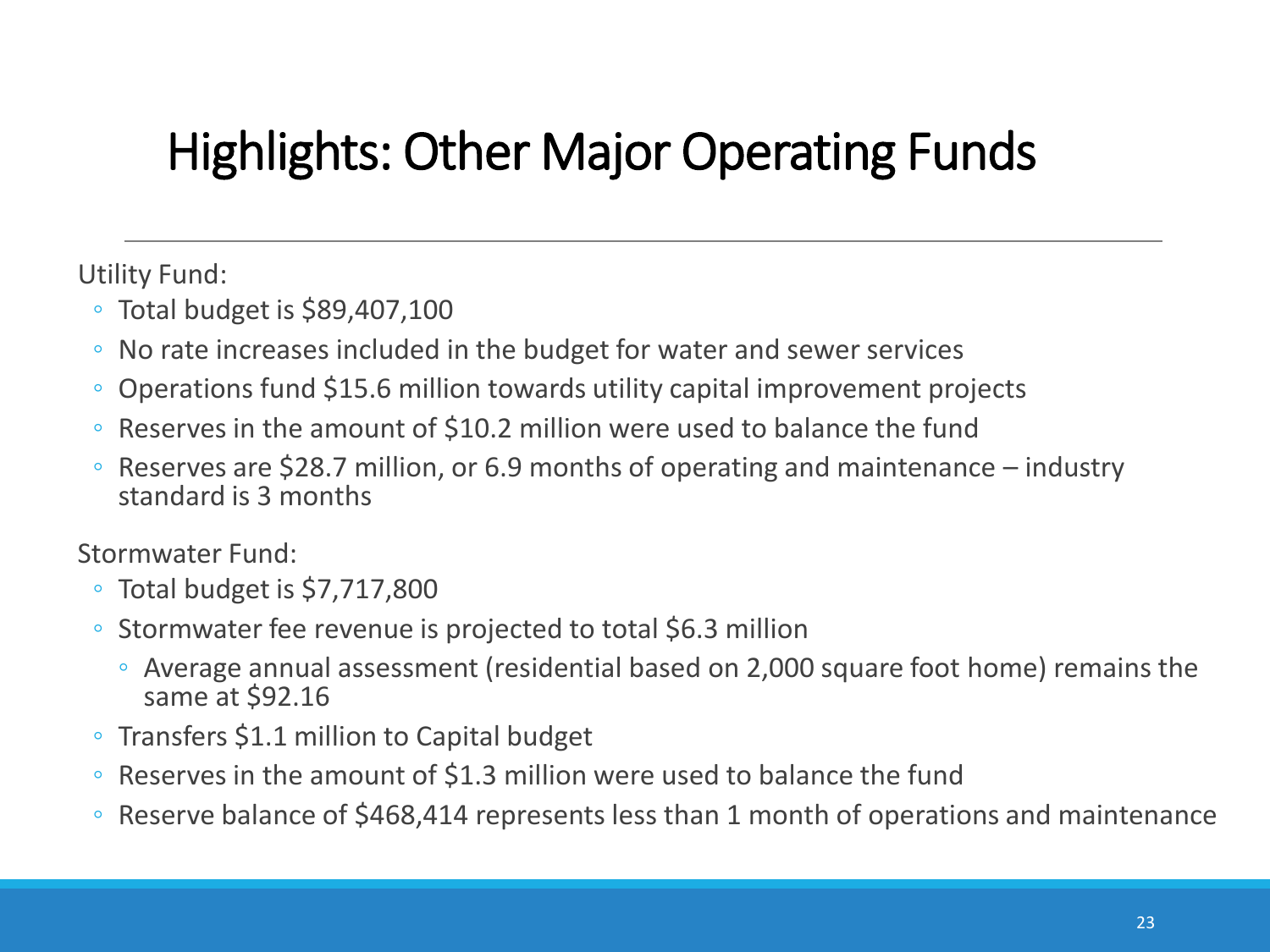Utility Fund:

- Total budget is \$89,407,100
- No rate increases included in the budget for water and sewer services
- Operations fund \$15.6 million towards utility capital improvement projects
- Reserves in the amount of \$10.2 million were used to balance the fund
- Reserves are \$28.7 million, or 6.9 months of operating and maintenance industry standard is 3 months

Stormwater Fund:

- Total budget is \$7,717,800
- Stormwater fee revenue is projected to total \$6.3 million
	- Average annual assessment (residential based on 2,000 square foot home) remains the same at \$92.16
- Transfers \$1.1 million to Capital budget
- Reserves in the amount of \$1.3 million were used to balance the fund
- Reserve balance of \$468,414 represents less than 1 month of operations and maintenance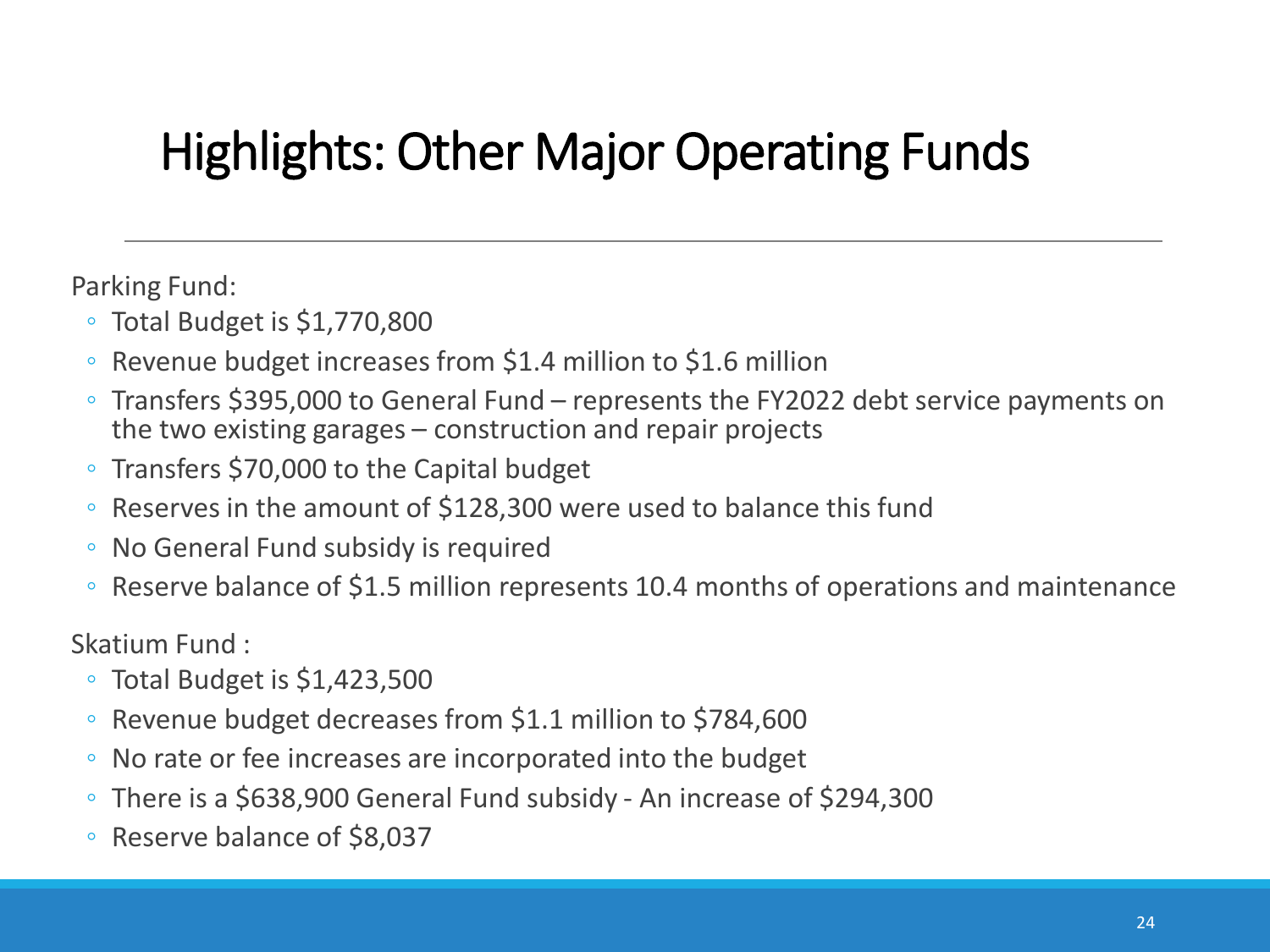Parking Fund:

- Total Budget is \$1,770,800
- Revenue budget increases from \$1.4 million to \$1.6 million
- Transfers \$395,000 to General Fund represents the FY2022 debt service payments on the two existing garages – construction and repair projects
- Transfers \$70,000 to the Capital budget
- Reserves in the amount of \$128,300 were used to balance this fund
- No General Fund subsidy is required
- Reserve balance of \$1.5 million represents 10.4 months of operations and maintenance

Skatium Fund :

- Total Budget is \$1,423,500
- Revenue budget decreases from \$1.1 million to \$784,600
- No rate or fee increases are incorporated into the budget
- There is a \$638,900 General Fund subsidy An increase of \$294,300
- Reserve balance of \$8,037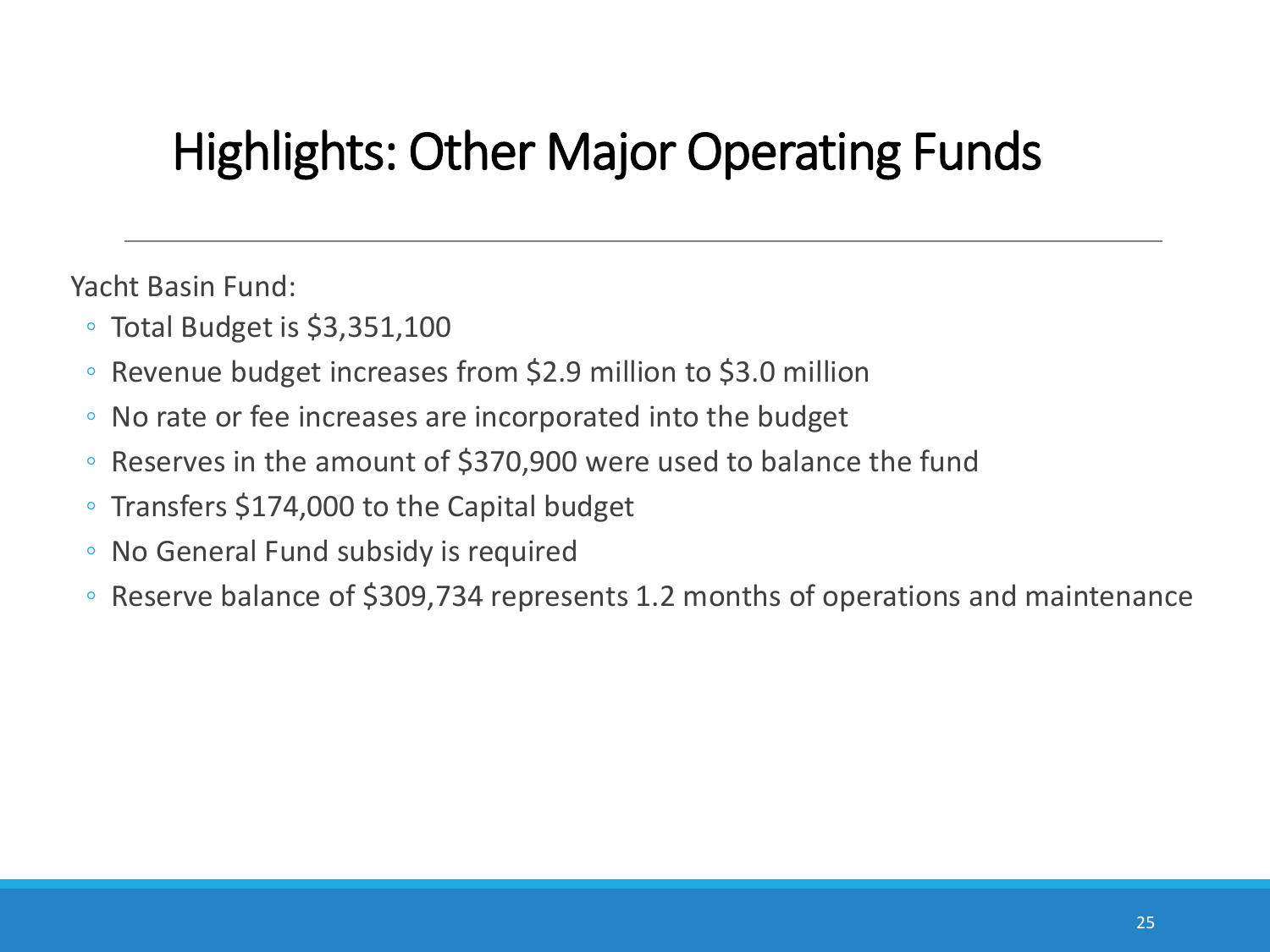Yacht Basin Fund:

- Total Budget is \$3,351,100
- Revenue budget increases from \$2.9 million to \$3.0 million
- No rate or fee increases are incorporated into the budget
- Reserves in the amount of \$370,900 were used to balance the fund
- Transfers \$174,000 to the Capital budget
- No General Fund subsidy is required
- Reserve balance of \$309,734 represents 1.2 months of operations and maintenance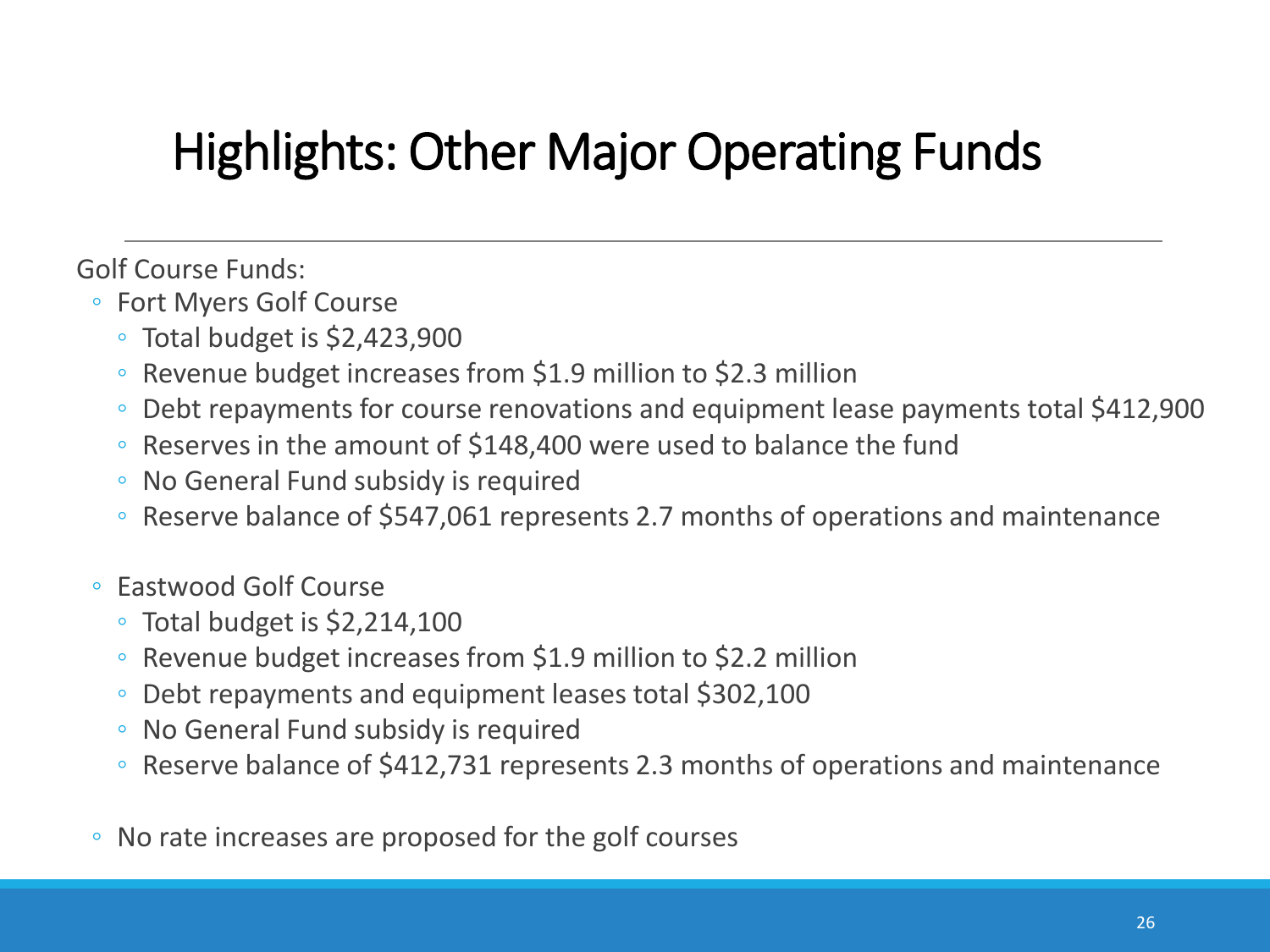Golf Course Funds:

- Fort Myers Golf Course
	- Total budget is \$2,423,900
	- Revenue budget increases from \$1.9 million to \$2.3 million
	- Debt repayments for course renovations and equipment lease payments total \$412,900
	- Reserves in the amount of \$148,400 were used to balance the fund
	- No General Fund subsidy is required
	- Reserve balance of \$547,061 represents 2.7 months of operations and maintenance
- Eastwood Golf Course
	- Total budget is \$2,214,100
	- Revenue budget increases from \$1.9 million to \$2.2 million
	- Debt repayments and equipment leases total \$302,100
	- No General Fund subsidy is required
	- Reserve balance of \$412,731 represents 2.3 months of operations and maintenance
- No rate increases are proposed for the golf courses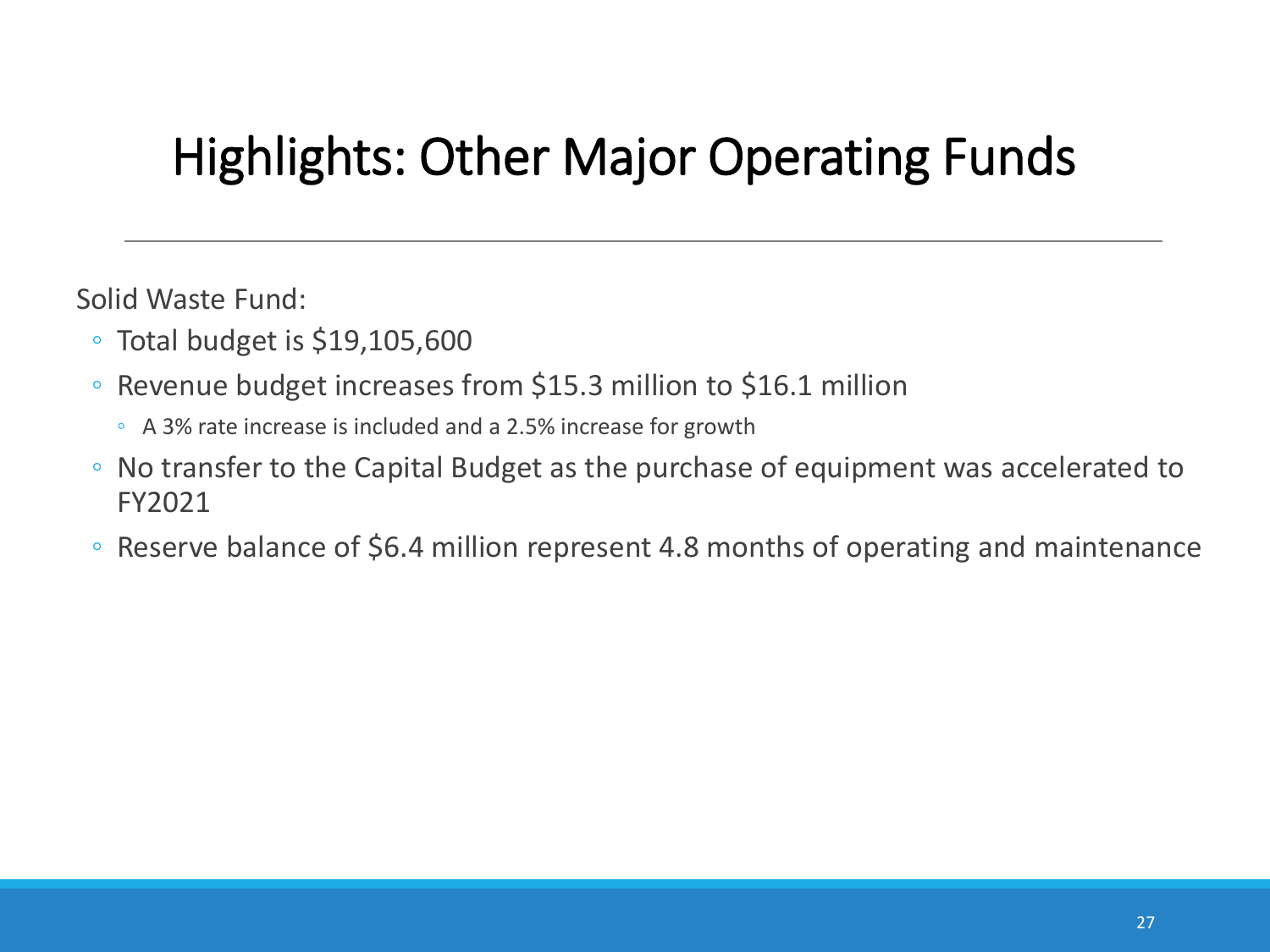Solid Waste Fund:

- Total budget is \$19,105,600
- Revenue budget increases from \$15.3 million to \$16.1 million
	- A 3% rate increase is included and a 2.5% increase for growth
- No transfer to the Capital Budget as the purchase of equipment was accelerated to FY2021
- Reserve balance of \$6.4 million represent 4.8 months of operating and maintenance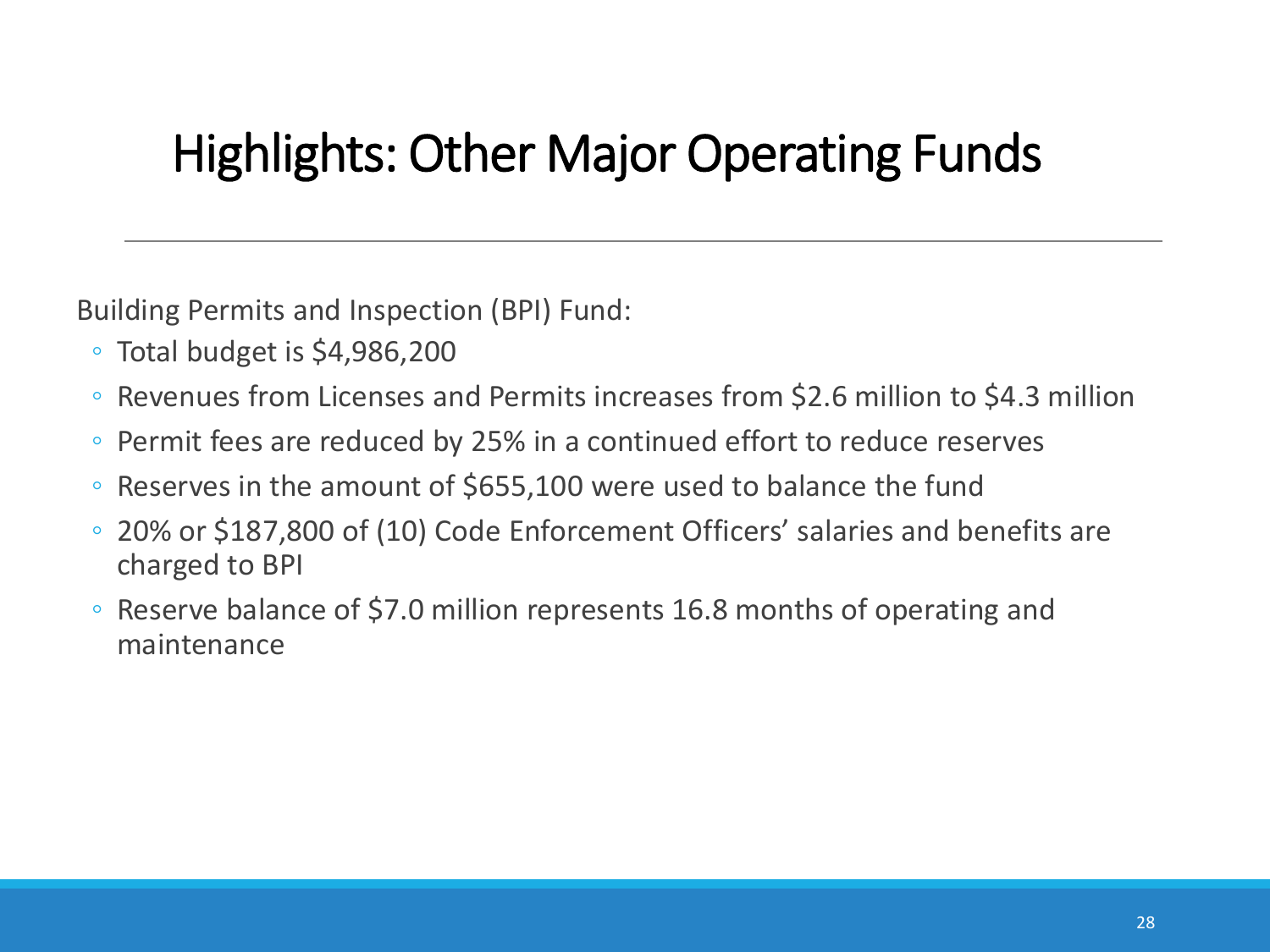Building Permits and Inspection (BPI) Fund:

- Total budget is \$4,986,200
- Revenues from Licenses and Permits increases from \$2.6 million to \$4.3 million
- Permit fees are reduced by 25% in a continued effort to reduce reserves
- Reserves in the amount of \$655,100 were used to balance the fund
- 20% or \$187,800 of (10) Code Enforcement Officers' salaries and benefits are charged to BPI
- Reserve balance of \$7.0 million represents 16.8 months of operating and maintenance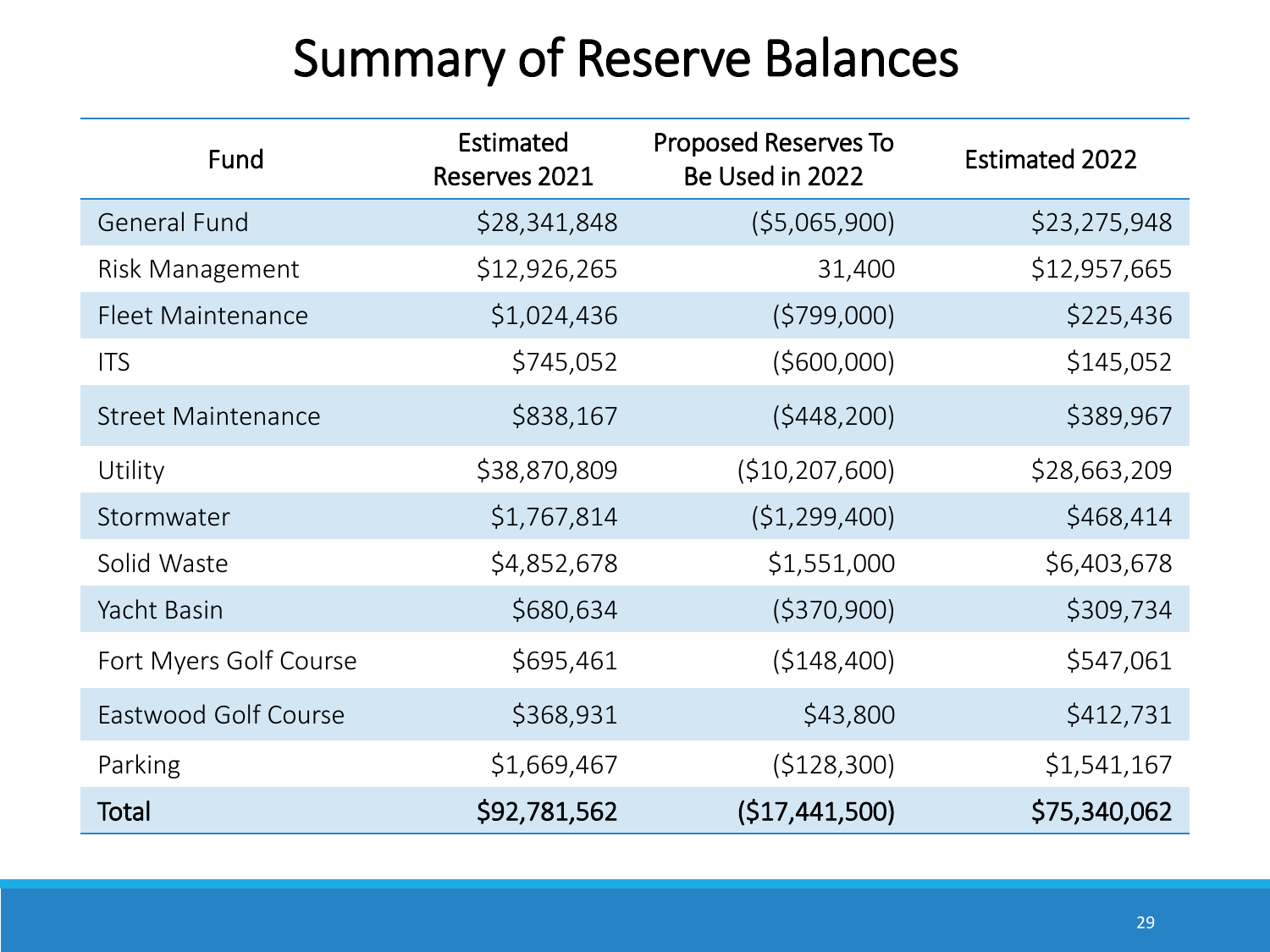### Summary of Reserve Balances

| Fund                      | Estimated<br>Reserves 2021 | <b>Proposed Reserves To</b><br>Be Used in 2022 | <b>Estimated 2022</b> |
|---------------------------|----------------------------|------------------------------------------------|-----------------------|
| <b>General Fund</b>       | \$28,341,848               | (55,065,900)                                   | \$23,275,948          |
| Risk Management           | \$12,926,265               | 31,400                                         | \$12,957,665          |
| <b>Fleet Maintenance</b>  | \$1,024,436                | (5799,000)                                     | \$225,436             |
| <b>ITS</b>                | \$745,052                  | (5600,000)                                     | \$145,052             |
| <b>Street Maintenance</b> | \$838,167                  | (5448, 200)                                    | \$389,967             |
| Utility                   | \$38,870,809               | (\$10,207,600)                                 | \$28,663,209          |
| Stormwater                | \$1,767,814                | (51, 299, 400)                                 | \$468,414             |
| Solid Waste               | \$4,852,678                | \$1,551,000                                    | \$6,403,678           |
| Yacht Basin               | \$680,634                  | ( \$370, 900)                                  | \$309,734             |
| Fort Myers Golf Course    | \$695,461                  | (5148, 400)                                    | \$547,061             |
| Eastwood Golf Course      | \$368,931                  | \$43,800                                       | \$412,731             |
| Parking                   | \$1,669,467                | (\$128,300)                                    | \$1,541,167           |
| Total                     | \$92,781,562               | (\$17,441,500)                                 | \$75,340,062          |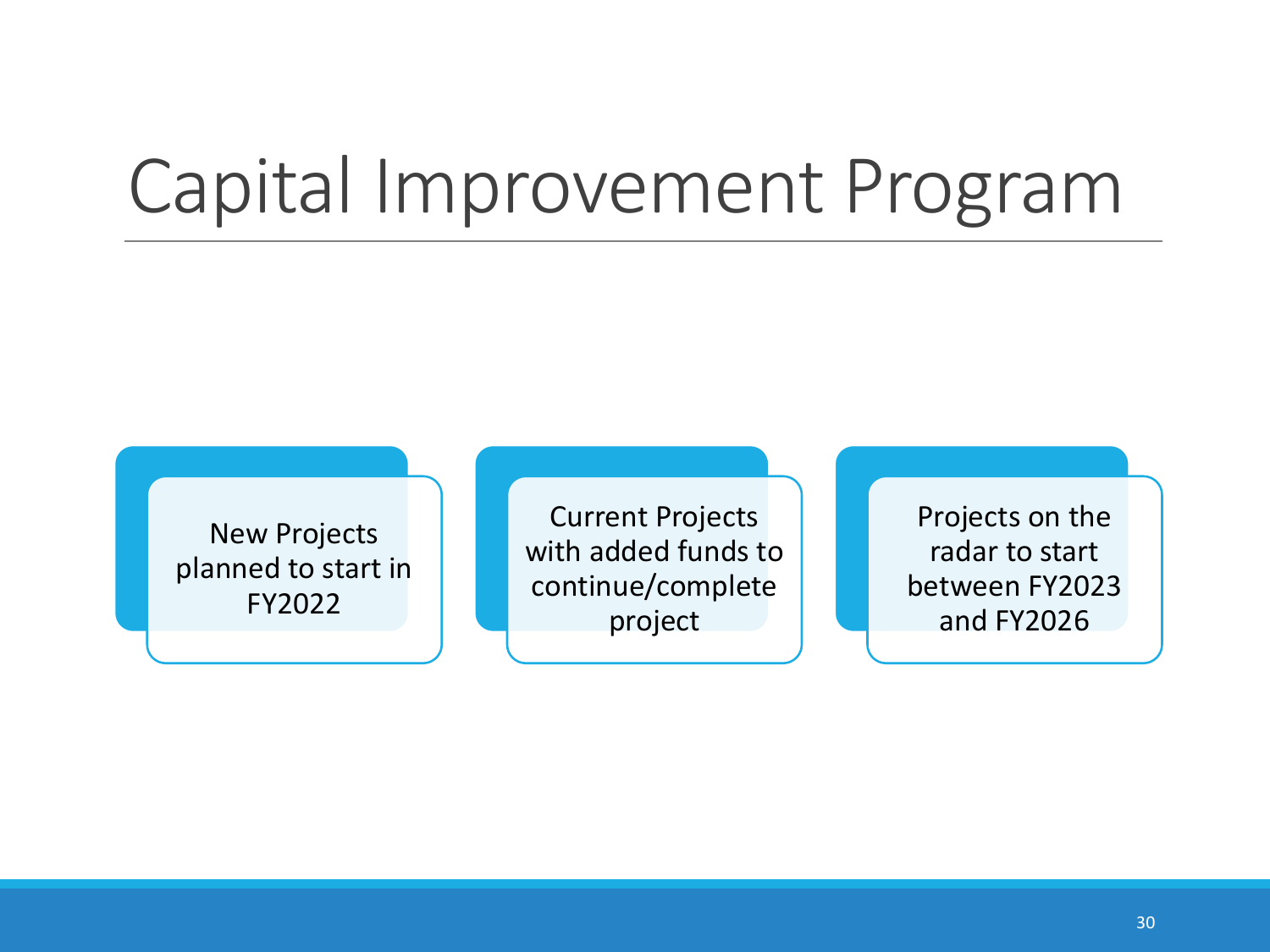## Capital Improvement Program

New Projects planned to start in FY2022

Current Projects with added funds to continue/complete project

Projects on the radar to start between FY2023 and FY2026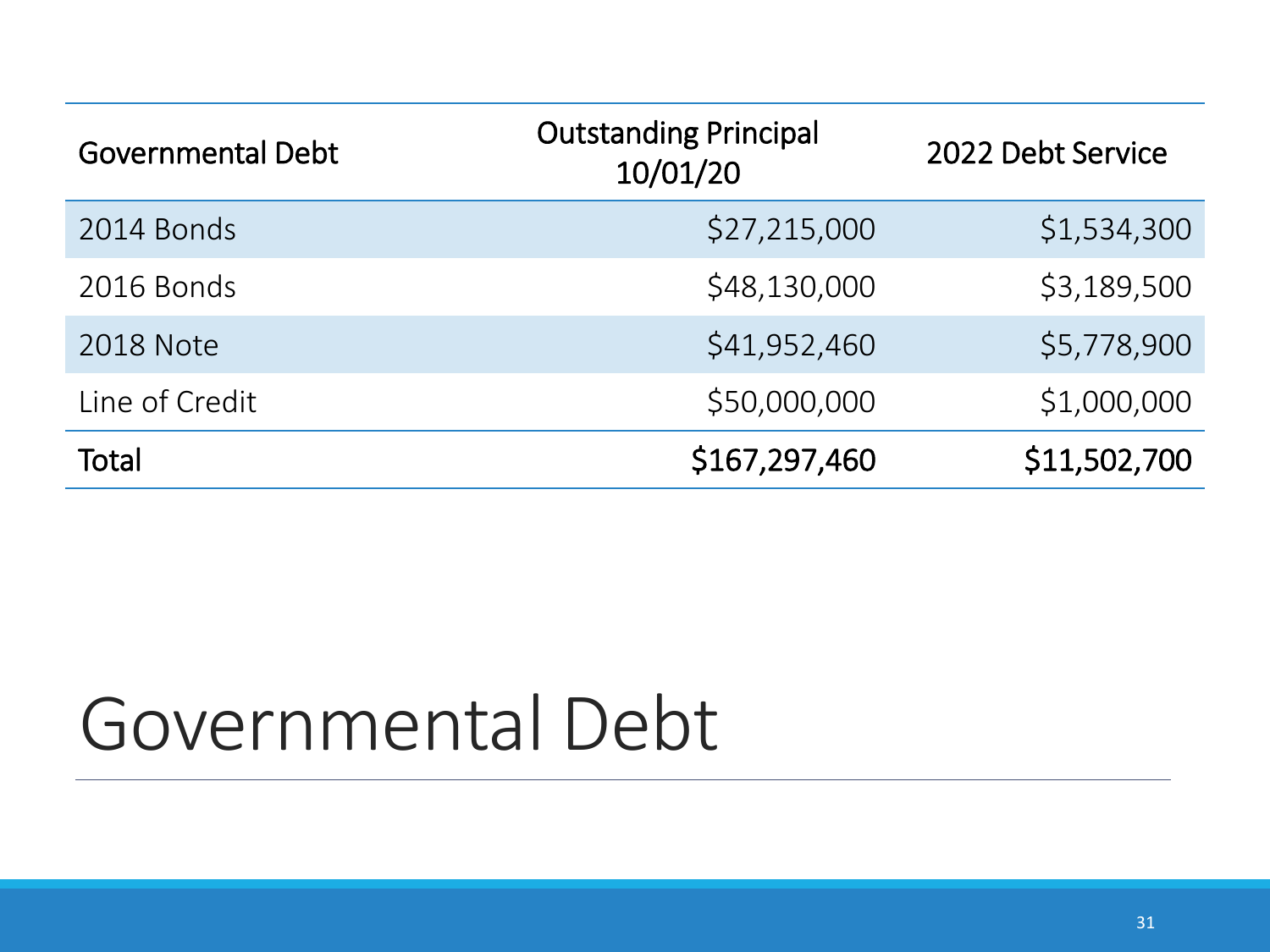| <b>Governmental Debt</b> | <b>Outstanding Principal</b><br>10/01/20 | 2022 Debt Service |
|--------------------------|------------------------------------------|-------------------|
| 2014 Bonds               | \$27,215,000                             | \$1,534,300       |
| 2016 Bonds               | \$48,130,000                             | \$3,189,500       |
| <b>2018 Note</b>         | \$41,952,460                             | \$5,778,900       |
| Line of Credit           | \$50,000,000                             | \$1,000,000       |
| Total                    | \$167,297,460                            | \$11,502,700      |

## Governmental Debt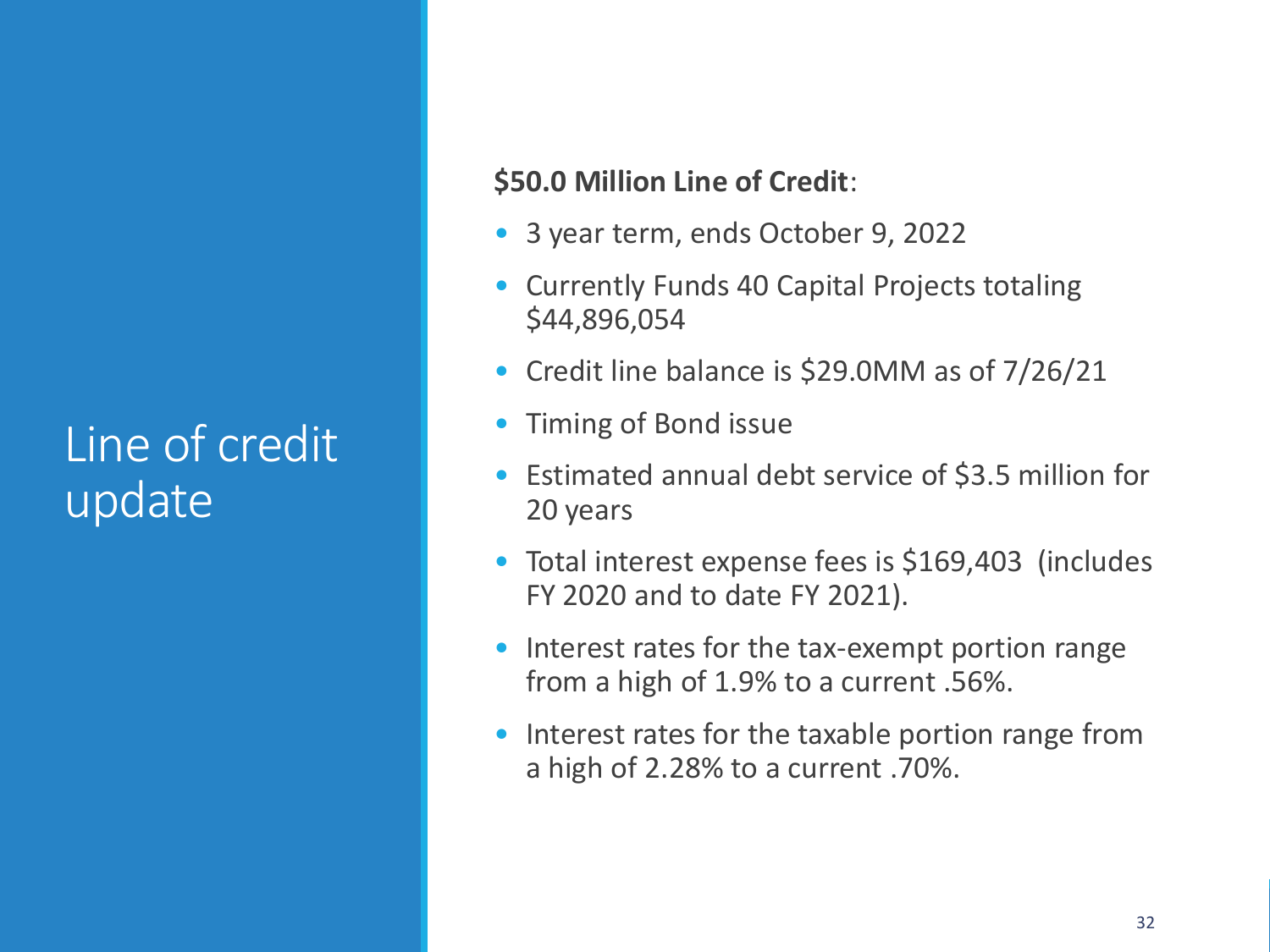#### Line of credit update

#### **\$50.0 Million Line of Credit**:

- 3 year term, ends October 9, 2022
- Currently Funds 40 Capital Projects totaling \$44,896,054
- Credit line balance is \$29.0MM as of 7/26/21
- Timing of Bond issue
- Estimated annual debt service of \$3.5 million for 20 years
- Total interest expense fees is \$169,403 (includes FY 2020 and to date FY 2021).
- Interest rates for the tax-exempt portion range from a high of 1.9% to a current .56%.
- Interest rates for the taxable portion range from a high of 2.28% to a current .70%.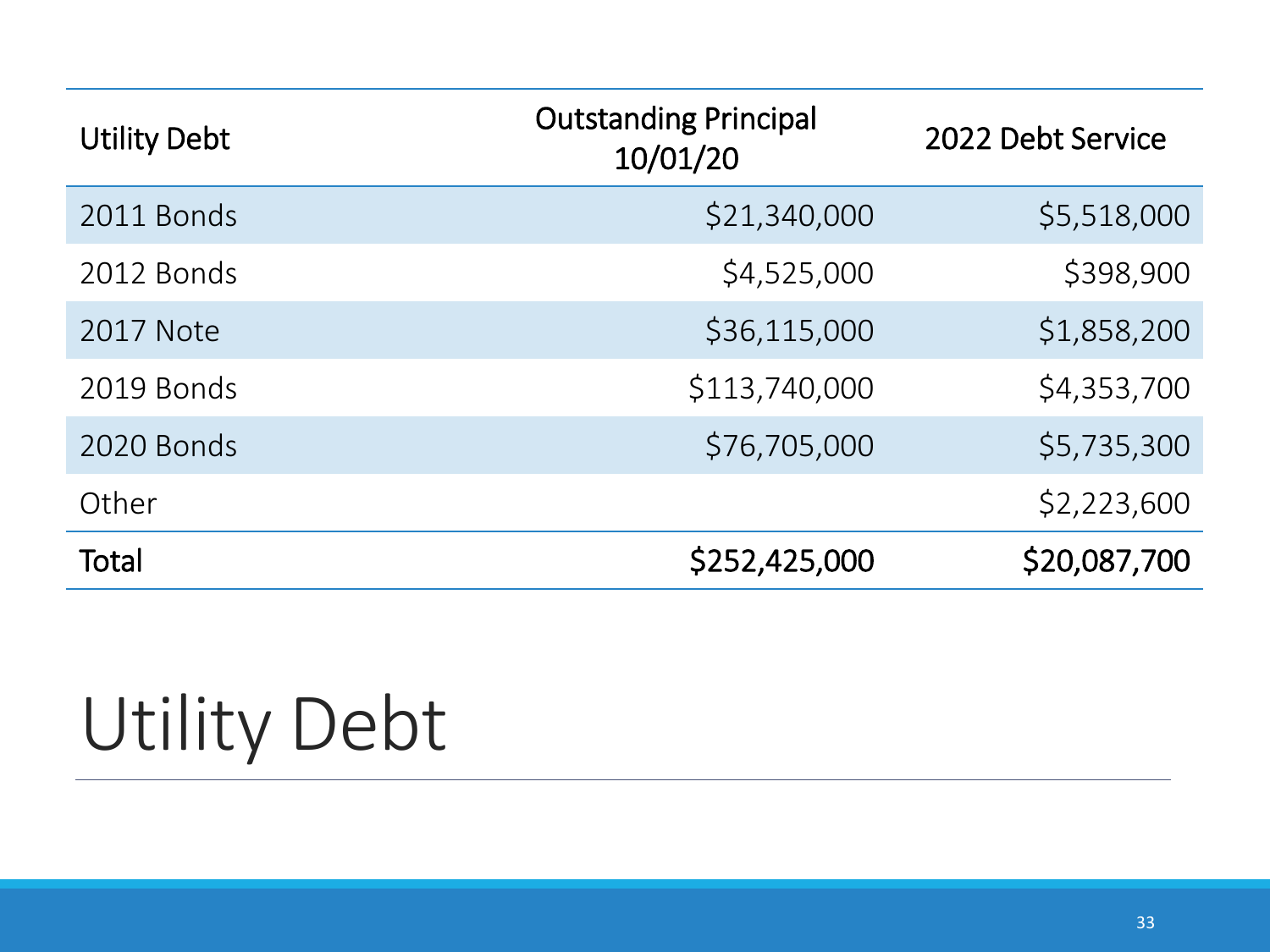| <b>Utility Debt</b> | <b>Outstanding Principal</b><br>10/01/20 | 2022 Debt Service |
|---------------------|------------------------------------------|-------------------|
| 2011 Bonds          | \$21,340,000                             | \$5,518,000       |
| 2012 Bonds          | \$4,525,000                              | \$398,900         |
| <b>2017 Note</b>    | \$36,115,000                             | \$1,858,200       |
| 2019 Bonds          | \$113,740,000                            | \$4,353,700       |
| 2020 Bonds          | \$76,705,000                             | \$5,735,300       |
| Other               |                                          | \$2,223,600       |
| Total               | \$252,425,000                            | \$20,087,700      |

# Utility Debt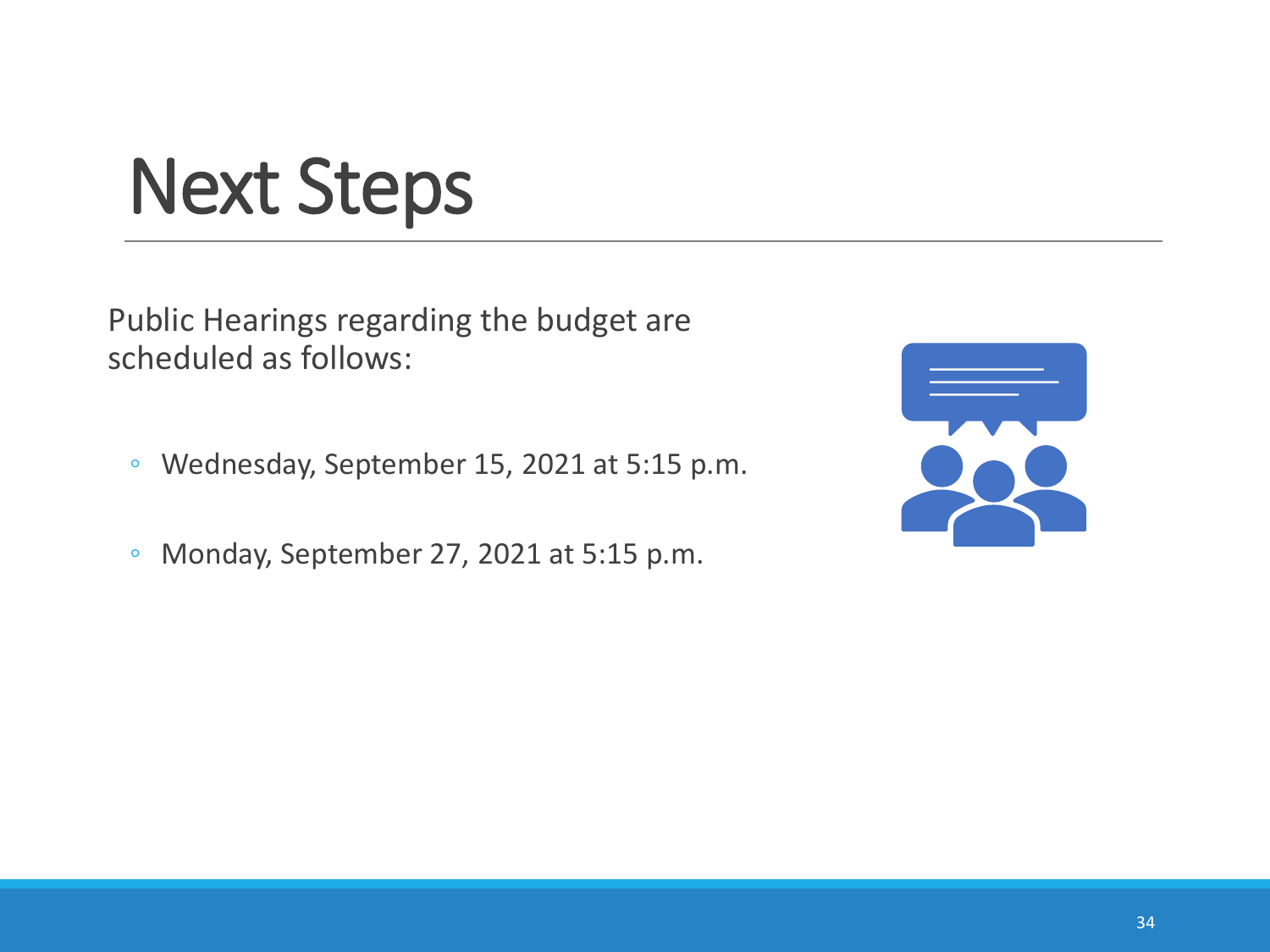# Next Steps

Public Hearings regarding the budget are scheduled as follows:

- Wednesday, September 15, 2021 at 5:15 p.m.
- Monday, September 27, 2021 at 5:15 p.m.